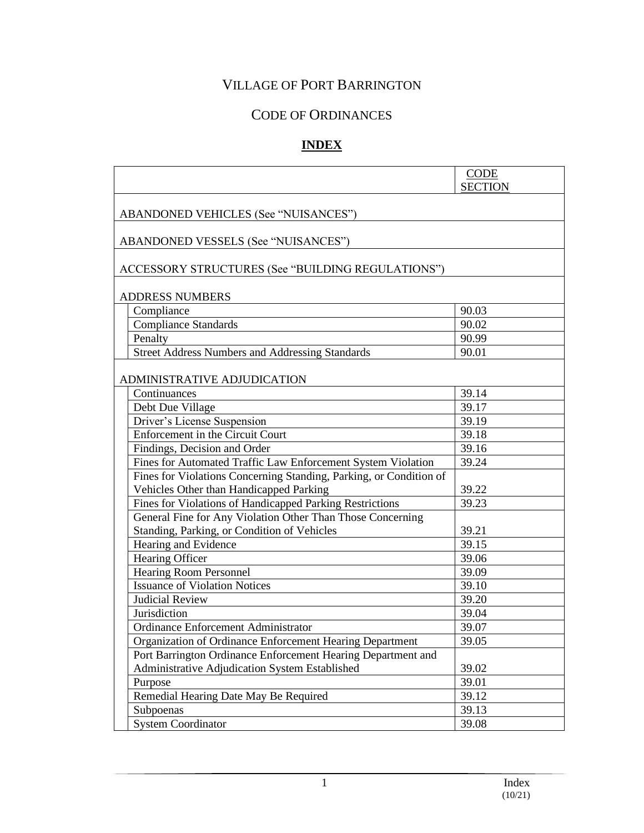# VILLAGE OF PORT BARRINGTON

# CODE OF ORDINANCES

# **INDEX**

|                                                                    | <b>CODE</b><br><b>SECTION</b> |  |  |
|--------------------------------------------------------------------|-------------------------------|--|--|
| <b>ABANDONED VEHICLES (See "NUISANCES")</b>                        |                               |  |  |
|                                                                    |                               |  |  |
| ABANDONED VESSELS (See "NUISANCES")                                |                               |  |  |
| ACCESSORY STRUCTURES (See "BUILDING REGULATIONS")                  |                               |  |  |
| <b>ADDRESS NUMBERS</b>                                             |                               |  |  |
| Compliance                                                         | 90.03                         |  |  |
| <b>Compliance Standards</b>                                        | 90.02                         |  |  |
| Penalty                                                            | 90.99                         |  |  |
| <b>Street Address Numbers and Addressing Standards</b>             | 90.01                         |  |  |
| ADMINISTRATIVE ADJUDICATION                                        |                               |  |  |
| Continuances                                                       | 39.14                         |  |  |
| Debt Due Village                                                   | 39.17                         |  |  |
| Driver's License Suspension                                        | 39.19                         |  |  |
| Enforcement in the Circuit Court                                   | 39.18                         |  |  |
| Findings, Decision and Order                                       | 39.16                         |  |  |
| Fines for Automated Traffic Law Enforcement System Violation       | 39.24                         |  |  |
| Fines for Violations Concerning Standing, Parking, or Condition of |                               |  |  |
| Vehicles Other than Handicapped Parking                            | 39.22                         |  |  |
| Fines for Violations of Handicapped Parking Restrictions           | 39.23                         |  |  |
| General Fine for Any Violation Other Than Those Concerning         |                               |  |  |
| Standing, Parking, or Condition of Vehicles                        | 39.21                         |  |  |
| Hearing and Evidence                                               | 39.15                         |  |  |
| Hearing Officer                                                    | 39.06                         |  |  |
| <b>Hearing Room Personnel</b>                                      | 39.09                         |  |  |
| <b>Issuance of Violation Notices</b>                               | 39.10                         |  |  |
| <b>Judicial Review</b>                                             | 39.20                         |  |  |
| Jurisdiction                                                       | 39.04                         |  |  |
| Ordinance Enforcement Administrator                                | 39.07                         |  |  |
| Organization of Ordinance Enforcement Hearing Department           | 39.05                         |  |  |
| Port Barrington Ordinance Enforcement Hearing Department and       |                               |  |  |
| Administrative Adjudication System Established                     | 39.02                         |  |  |
| Purpose                                                            | 39.01                         |  |  |
| Remedial Hearing Date May Be Required                              | 39.12                         |  |  |
| Subpoenas                                                          | 39.13                         |  |  |
| <b>System Coordinator</b>                                          | 39.08                         |  |  |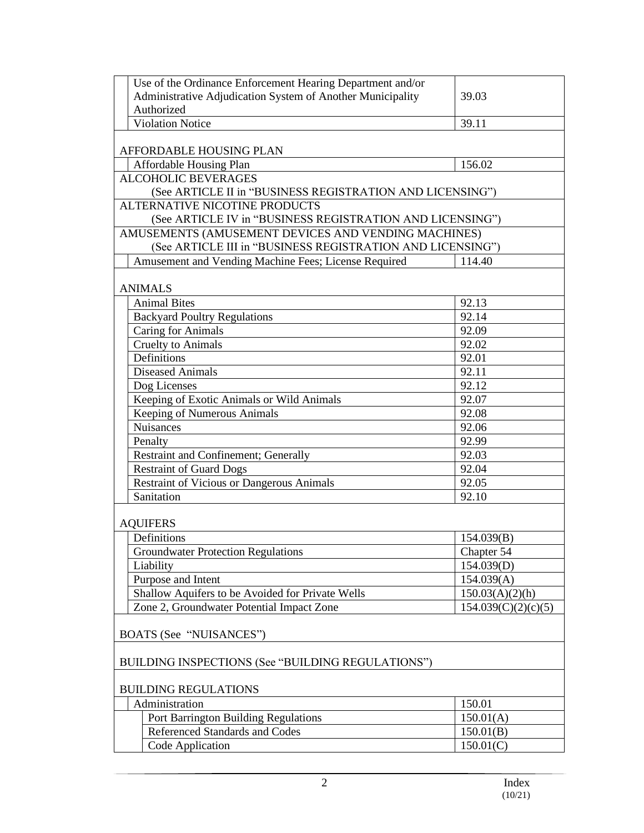| Use of the Ordinance Enforcement Hearing Department and/or                                 |                     |
|--------------------------------------------------------------------------------------------|---------------------|
| Administrative Adjudication System of Another Municipality                                 | 39.03               |
| Authorized                                                                                 |                     |
| <b>Violation Notice</b>                                                                    | 39.11               |
|                                                                                            |                     |
| AFFORDABLE HOUSING PLAN                                                                    |                     |
| Affordable Housing Plan                                                                    | 156.02              |
| <b>ALCOHOLIC BEVERAGES</b>                                                                 |                     |
| (See ARTICLE II in "BUSINESS REGISTRATION AND LICENSING")                                  |                     |
| ALTERNATIVE NICOTINE PRODUCTS<br>(See ARTICLE IV in "BUSINESS REGISTRATION AND LICENSING") |                     |
| AMUSEMENTS (AMUSEMENT DEVICES AND VENDING MACHINES)                                        |                     |
| (See ARTICLE III in "BUSINESS REGISTRATION AND LICENSING")                                 |                     |
| Amusement and Vending Machine Fees; License Required                                       | 114.40              |
|                                                                                            |                     |
| <b>ANIMALS</b>                                                                             |                     |
| <b>Animal Bites</b>                                                                        | 92.13               |
| <b>Backyard Poultry Regulations</b>                                                        | 92.14               |
| <b>Caring for Animals</b>                                                                  | 92.09               |
| <b>Cruelty to Animals</b>                                                                  | 92.02               |
| Definitions                                                                                | 92.01               |
| <b>Diseased Animals</b>                                                                    | 92.11               |
| Dog Licenses                                                                               | 92.12               |
| Keeping of Exotic Animals or Wild Animals                                                  | 92.07               |
| <b>Keeping of Numerous Animals</b>                                                         | 92.08               |
| <b>Nuisances</b>                                                                           | 92.06               |
| Penalty                                                                                    | 92.99               |
| Restraint and Confinement; Generally                                                       | 92.03               |
| <b>Restraint of Guard Dogs</b>                                                             | 92.04               |
| <b>Restraint of Vicious or Dangerous Animals</b>                                           | 92.05               |
| Sanitation                                                                                 | 92.10               |
|                                                                                            |                     |
| <b>AQUIFERS</b>                                                                            |                     |
| Definitions                                                                                | 154.039(B)          |
| Groundwater Protection Regulations                                                         | Chapter 54          |
| Liability                                                                                  | 154.039(D)          |
| Purpose and Intent                                                                         | 154.039(A)          |
| Shallow Aquifers to be Avoided for Private Wells                                           | 150.03(A)(2)(h)     |
| Zone 2, Groundwater Potential Impact Zone                                                  | 154.039(C)(2)(c)(5) |
|                                                                                            |                     |
| BOATS (See "NUISANCES")                                                                    |                     |
| BUILDING INSPECTIONS (See "BUILDING REGULATIONS")                                          |                     |
|                                                                                            |                     |
| <b>BUILDING REGULATIONS</b>                                                                |                     |
| Administration                                                                             | 150.01              |
| Port Barrington Building Regulations                                                       | 150.01(A)           |
| Referenced Standards and Codes                                                             | 150.01(B)           |
| Code Application                                                                           | 150.01(C)           |
|                                                                                            |                     |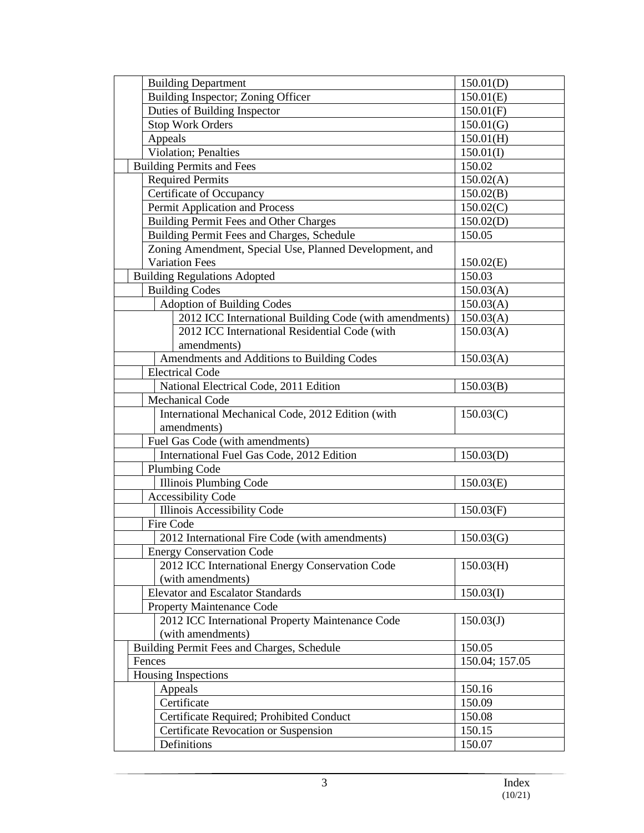| <b>Building Department</b>                              | 150.01(D)      |
|---------------------------------------------------------|----------------|
| Building Inspector; Zoning Officer                      | 150.01(E)      |
| Duties of Building Inspector                            | 150.01(F)      |
| <b>Stop Work Orders</b>                                 | 150.01(G)      |
| Appeals                                                 | 150.01(H)      |
| <b>Violation</b> ; Penalties                            | 150.01(I)      |
| <b>Building Permits and Fees</b>                        | 150.02         |
| <b>Required Permits</b>                                 | 150.02(A)      |
| Certificate of Occupancy                                | 150.02(B)      |
| Permit Application and Process                          | 150.02(C)      |
| <b>Building Permit Fees and Other Charges</b>           | 150.02(D)      |
| Building Permit Fees and Charges, Schedule              | 150.05         |
| Zoning Amendment, Special Use, Planned Development, and |                |
| <b>Variation Fees</b>                                   | 150.02(E)      |
| <b>Building Regulations Adopted</b>                     | 150.03         |
| <b>Building Codes</b>                                   | 150.03(A)      |
| <b>Adoption of Building Codes</b>                       | 150.03(A)      |
| 2012 ICC International Building Code (with amendments)  | 150.03(A)      |
| 2012 ICC International Residential Code (with           | 150.03(A)      |
| amendments)                                             |                |
| Amendments and Additions to Building Codes              | 150.03(A)      |
| <b>Electrical Code</b>                                  |                |
| National Electrical Code, 2011 Edition                  | 150.03(B)      |
| <b>Mechanical Code</b>                                  |                |
| International Mechanical Code, 2012 Edition (with       | 150.03(C)      |
| amendments)                                             |                |
| Fuel Gas Code (with amendments)                         |                |
| International Fuel Gas Code, 2012 Edition               | 150.03(D)      |
| Plumbing Code                                           |                |
| <b>Illinois Plumbing Code</b>                           | 150.03(E)      |
| <b>Accessibility Code</b>                               |                |
| Illinois Accessibility Code                             | 150.03(F)      |
| Fire Code                                               |                |
| 2012 International Fire Code (with amendments)          | 150.03(G)      |
| <b>Energy Conservation Code</b>                         |                |
| 2012 ICC International Energy Conservation Code         | 150.03(H)      |
| (with amendments)                                       |                |
| <b>Elevator and Escalator Standards</b>                 | 150.03(I)      |
| Property Maintenance Code                               |                |
| 2012 ICC International Property Maintenance Code        | 150.03(J)      |
| (with amendments)                                       |                |
| Building Permit Fees and Charges, Schedule              | 150.05         |
| Fences                                                  | 150.04; 157.05 |
| Housing Inspections                                     |                |
| Appeals                                                 | 150.16         |
| Certificate                                             | 150.09         |
| Certificate Required; Prohibited Conduct                | 150.08         |
| Certificate Revocation or Suspension                    | 150.15         |
| Definitions                                             | 150.07         |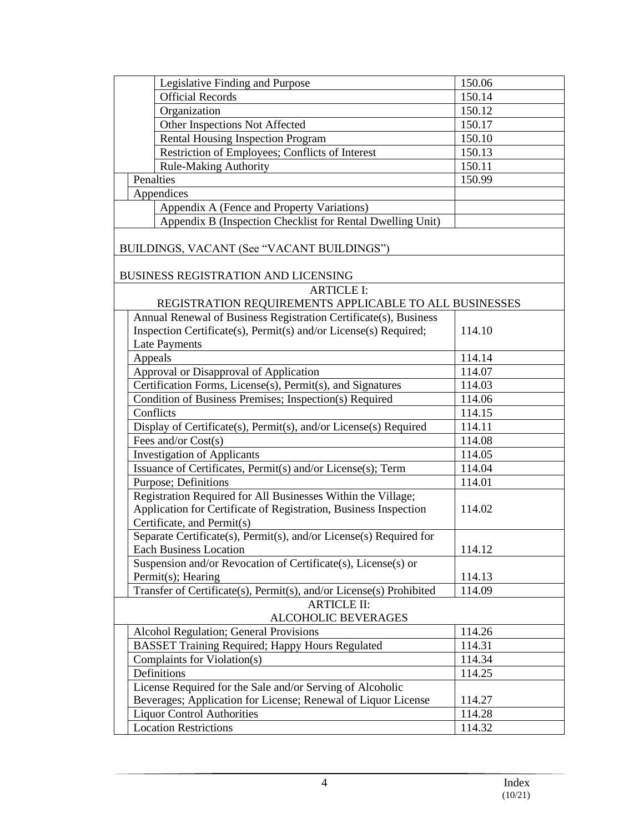| Legislative Finding and Purpose                                     | 150.06 |  |  |
|---------------------------------------------------------------------|--------|--|--|
| <b>Official Records</b>                                             | 150.14 |  |  |
| Organization                                                        | 150.12 |  |  |
| Other Inspections Not Affected                                      | 150.17 |  |  |
| Rental Housing Inspection Program                                   | 150.10 |  |  |
| Restriction of Employees; Conflicts of Interest                     | 150.13 |  |  |
| <b>Rule-Making Authority</b>                                        | 150.11 |  |  |
| Penalties                                                           | 150.99 |  |  |
| Appendices                                                          |        |  |  |
| Appendix A (Fence and Property Variations)                          |        |  |  |
| Appendix B (Inspection Checklist for Rental Dwelling Unit)          |        |  |  |
|                                                                     |        |  |  |
| BUILDINGS, VACANT (See "VACANT BUILDINGS")                          |        |  |  |
| BUSINESS REGISTRATION AND LICENSING                                 |        |  |  |
| <b>ARTICLE I:</b>                                                   |        |  |  |
| REGISTRATION REQUIREMENTS APPLICABLE TO ALL BUSINESSES              |        |  |  |
| Annual Renewal of Business Registration Certificate(s), Business    |        |  |  |
| Inspection Certificate(s), Permit(s) and/or License(s) Required;    | 114.10 |  |  |
| <b>Late Payments</b>                                                |        |  |  |
| Appeals                                                             | 114.14 |  |  |
| Approval or Disapproval of Application                              | 114.07 |  |  |
| Certification Forms, License(s), Permit(s), and Signatures          | 114.03 |  |  |
| Condition of Business Premises; Inspection(s) Required              | 114.06 |  |  |
| Conflicts                                                           | 114.15 |  |  |
| Display of Certificate(s), Permit(s), and/or License(s) Required    | 114.11 |  |  |
| Fees and/or Cost(s)                                                 | 114.08 |  |  |
| <b>Investigation of Applicants</b>                                  | 114.05 |  |  |
| Issuance of Certificates, Permit(s) and/or License(s); Term         | 114.04 |  |  |
| Purpose; Definitions                                                | 114.01 |  |  |
| Registration Required for All Businesses Within the Village;        |        |  |  |
| Application for Certificate of Registration, Business Inspection    | 114.02 |  |  |
| Certificate, and Permit(s)                                          |        |  |  |
| Separate Certificate(s), Permit(s), and/or License(s) Required for  |        |  |  |
| Each Business Location                                              | 114.12 |  |  |
| Suspension and/or Revocation of Certificate(s), License(s) or       |        |  |  |
| Permit(s); Hearing                                                  | 114.13 |  |  |
| Transfer of Certificate(s), Permit(s), and/or License(s) Prohibited | 114.09 |  |  |
| <b>ARTICLE II:</b>                                                  |        |  |  |
| ALCOHOLIC BEVERAGES                                                 |        |  |  |
| Alcohol Regulation; General Provisions                              | 114.26 |  |  |
| <b>BASSET Training Required; Happy Hours Regulated</b>              | 114.31 |  |  |
| Complaints for Violation(s)                                         | 114.34 |  |  |
| Definitions                                                         | 114.25 |  |  |
| License Required for the Sale and/or Serving of Alcoholic           |        |  |  |
| Beverages; Application for License; Renewal of Liquor License       | 114.27 |  |  |
| <b>Liquor Control Authorities</b>                                   | 114.28 |  |  |
| <b>Location Restrictions</b>                                        | 114.32 |  |  |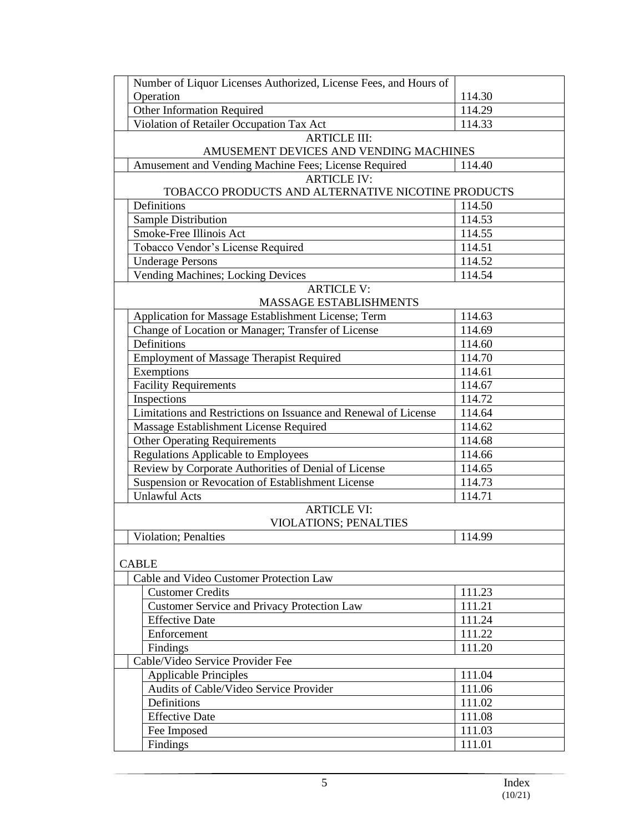| Number of Liquor Licenses Authorized, License Fees, and Hours of |        |  |  |
|------------------------------------------------------------------|--------|--|--|
| Operation                                                        | 114.30 |  |  |
| Other Information Required                                       | 114.29 |  |  |
| Violation of Retailer Occupation Tax Act                         | 114.33 |  |  |
| <b>ARTICLE III:</b>                                              |        |  |  |
| AMUSEMENT DEVICES AND VENDING MACHINES                           |        |  |  |
| Amusement and Vending Machine Fees; License Required             | 114.40 |  |  |
| <b>ARTICLE IV:</b>                                               |        |  |  |
| TOBACCO PRODUCTS AND ALTERNATIVE NICOTINE PRODUCTS               |        |  |  |
| Definitions                                                      | 114.50 |  |  |
| Sample Distribution                                              | 114.53 |  |  |
| Smoke-Free Illinois Act                                          | 114.55 |  |  |
| Tobacco Vendor's License Required                                | 114.51 |  |  |
| <b>Underage Persons</b>                                          | 114.52 |  |  |
| Vending Machines; Locking Devices                                | 114.54 |  |  |
| <b>ARTICLE V:</b>                                                |        |  |  |
| MASSAGE ESTABLISHMENTS                                           |        |  |  |
| Application for Massage Establishment License; Term              | 114.63 |  |  |
| Change of Location or Manager; Transfer of License               | 114.69 |  |  |
| Definitions                                                      | 114.60 |  |  |
| <b>Employment of Massage Therapist Required</b>                  | 114.70 |  |  |
| Exemptions                                                       | 114.61 |  |  |
| <b>Facility Requirements</b>                                     | 114.67 |  |  |
| Inspections                                                      | 114.72 |  |  |
| Limitations and Restrictions on Issuance and Renewal of License  | 114.64 |  |  |
| Massage Establishment License Required                           | 114.62 |  |  |
| <b>Other Operating Requirements</b>                              | 114.68 |  |  |
| <b>Regulations Applicable to Employees</b>                       | 114.66 |  |  |
| Review by Corporate Authorities of Denial of License             | 114.65 |  |  |
| Suspension or Revocation of Establishment License                | 114.73 |  |  |
| <b>Unlawful Acts</b>                                             | 114.71 |  |  |
| <b>ARTICLE VI:</b><br><b>VIOLATIONS; PENALTIES</b>               |        |  |  |
| <b>Violation</b> ; Penalties                                     | 114.99 |  |  |
| <b>CABLE</b>                                                     |        |  |  |
| Cable and Video Customer Protection Law                          |        |  |  |
| <b>Customer Credits</b>                                          | 111.23 |  |  |
| <b>Customer Service and Privacy Protection Law</b>               | 111.21 |  |  |
| <b>Effective Date</b>                                            | 111.24 |  |  |
| Enforcement                                                      | 111.22 |  |  |
| Findings                                                         | 111.20 |  |  |
| Cable/Video Service Provider Fee                                 |        |  |  |
| <b>Applicable Principles</b>                                     | 111.04 |  |  |
| Audits of Cable/Video Service Provider                           | 111.06 |  |  |
| Definitions                                                      | 111.02 |  |  |
| <b>Effective Date</b>                                            | 111.08 |  |  |
| Fee Imposed                                                      | 111.03 |  |  |
| Findings                                                         | 111.01 |  |  |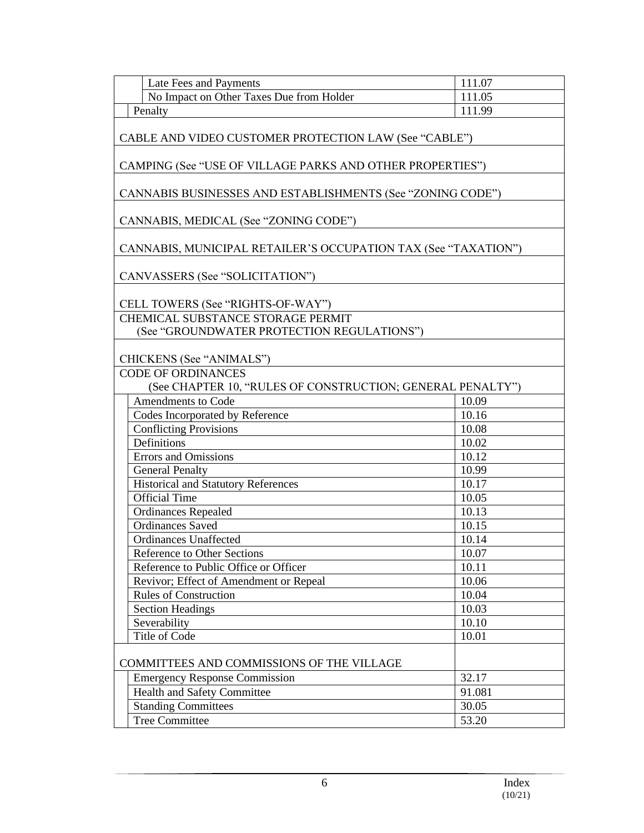| Late Fees and Payments                                         | 111.07 |  |  |
|----------------------------------------------------------------|--------|--|--|
| No Impact on Other Taxes Due from Holder                       | 111.05 |  |  |
| Penalty                                                        | 111.99 |  |  |
|                                                                |        |  |  |
| CABLE AND VIDEO CUSTOMER PROTECTION LAW (See "CABLE")          |        |  |  |
| CAMPING (See "USE OF VILLAGE PARKS AND OTHER PROPERTIES")      |        |  |  |
| CANNABIS BUSINESSES AND ESTABLISHMENTS (See "ZONING CODE")     |        |  |  |
| CANNABIS, MEDICAL (See "ZONING CODE")                          |        |  |  |
| CANNABIS, MUNICIPAL RETAILER'S OCCUPATION TAX (See "TAXATION") |        |  |  |
| CANVASSERS (See "SOLICITATION")                                |        |  |  |
| CELL TOWERS (See "RIGHTS-OF-WAY")                              |        |  |  |
| CHEMICAL SUBSTANCE STORAGE PERMIT                              |        |  |  |
| (See "GROUNDWATER PROTECTION REGULATIONS")                     |        |  |  |
|                                                                |        |  |  |
| CHICKENS (See "ANIMALS")                                       |        |  |  |
| <b>CODE OF ORDINANCES</b>                                      |        |  |  |
| (See CHAPTER 10, "RULES OF CONSTRUCTION; GENERAL PENALTY")     |        |  |  |
| <b>Amendments to Code</b>                                      | 10.09  |  |  |
| Codes Incorporated by Reference                                | 10.16  |  |  |
| <b>Conflicting Provisions</b>                                  | 10.08  |  |  |
| Definitions                                                    | 10.02  |  |  |
| <b>Errors</b> and Omissions                                    | 10.12  |  |  |
| <b>General Penalty</b>                                         | 10.99  |  |  |
| <b>Historical and Statutory References</b>                     | 10.17  |  |  |
| <b>Official Time</b>                                           | 10.05  |  |  |
| <b>Ordinances Repealed</b>                                     | 10.13  |  |  |
| <b>Ordinances Saved</b>                                        | 10.15  |  |  |
| <b>Ordinances Unaffected</b>                                   | 10.14  |  |  |
| <b>Reference to Other Sections</b>                             | 10.07  |  |  |
| Reference to Public Office or Officer                          | 10.11  |  |  |
| Revivor; Effect of Amendment or Repeal                         | 10.06  |  |  |
| <b>Rules of Construction</b>                                   | 10.04  |  |  |
| <b>Section Headings</b>                                        | 10.03  |  |  |
| Severability                                                   | 10.10  |  |  |
| Title of Code                                                  | 10.01  |  |  |
| COMMITTEES AND COMMISSIONS OF THE VILLAGE                      |        |  |  |
| <b>Emergency Response Commission</b>                           | 32.17  |  |  |
| <b>Health and Safety Committee</b>                             | 91.081 |  |  |
| <b>Standing Committees</b>                                     | 30.05  |  |  |
| <b>Tree Committee</b>                                          | 53.20  |  |  |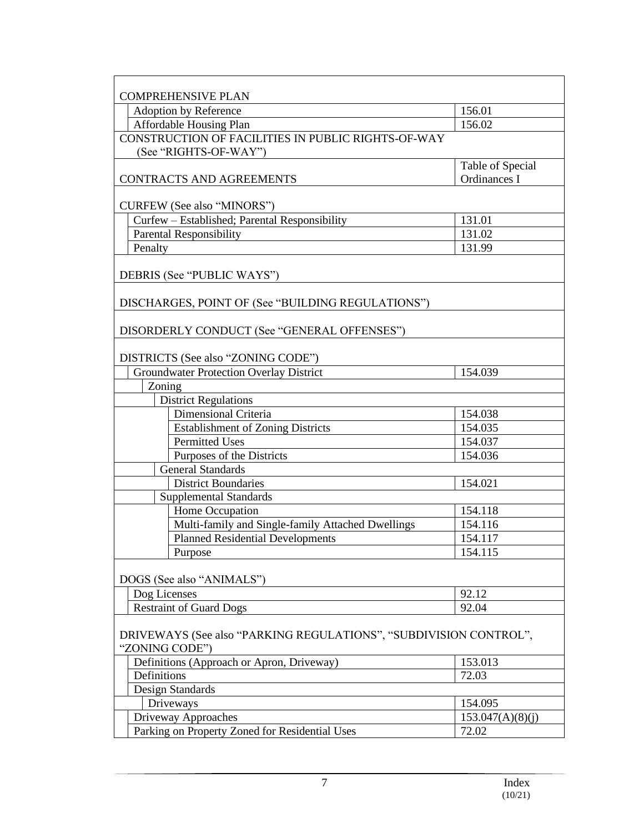| <b>COMPREHENSIVE PLAN</b>                                         |                                  |  |  |
|-------------------------------------------------------------------|----------------------------------|--|--|
| Adoption by Reference                                             | 156.01                           |  |  |
| Affordable Housing Plan                                           | 156.02                           |  |  |
| CONSTRUCTION OF FACILITIES IN PUBLIC RIGHTS-OF-WAY                |                                  |  |  |
| (See "RIGHTS-OF-WAY")                                             |                                  |  |  |
|                                                                   | Table of Special                 |  |  |
| CONTRACTS AND AGREEMENTS                                          | Ordinances I                     |  |  |
|                                                                   |                                  |  |  |
| <b>CURFEW (See also "MINORS")</b>                                 |                                  |  |  |
| Curfew - Established; Parental Responsibility                     | 131.01                           |  |  |
| <b>Parental Responsibility</b>                                    | 131.02                           |  |  |
| Penalty                                                           | 131.99                           |  |  |
|                                                                   |                                  |  |  |
| DEBRIS (See "PUBLIC WAYS")                                        |                                  |  |  |
|                                                                   |                                  |  |  |
| DISCHARGES, POINT OF (See "BUILDING REGULATIONS")                 |                                  |  |  |
|                                                                   |                                  |  |  |
| DISORDERLY CONDUCT (See "GENERAL OFFENSES")                       |                                  |  |  |
|                                                                   |                                  |  |  |
| DISTRICTS (See also "ZONING CODE")                                |                                  |  |  |
| <b>Groundwater Protection Overlay District</b>                    | 154.039                          |  |  |
| Zoning                                                            |                                  |  |  |
| <b>District Regulations</b>                                       |                                  |  |  |
| Dimensional Criteria                                              | 154.038                          |  |  |
| <b>Establishment of Zoning Districts</b>                          | 154.035                          |  |  |
| <b>Permitted Uses</b>                                             | 154.037                          |  |  |
| Purposes of the Districts                                         | 154.036                          |  |  |
| <b>General Standards</b>                                          |                                  |  |  |
| <b>District Boundaries</b>                                        | 154.021                          |  |  |
| <b>Supplemental Standards</b>                                     |                                  |  |  |
| Home Occupation                                                   | 154.118                          |  |  |
| Multi-family and Single-family Attached Dwellings                 | 154.116                          |  |  |
|                                                                   |                                  |  |  |
| <b>Planned Residential Developments</b>                           | 154.117<br>$\overline{1}$ 54.115 |  |  |
| Purpose                                                           |                                  |  |  |
| DOGS (See also "ANIMALS")                                         |                                  |  |  |
| Dog Licenses                                                      | 92.12                            |  |  |
| <b>Restraint of Guard Dogs</b>                                    | 92.04                            |  |  |
|                                                                   |                                  |  |  |
| DRIVEWAYS (See also "PARKING REGULATIONS", "SUBDIVISION CONTROL", |                                  |  |  |
| "ZONING CODE")                                                    |                                  |  |  |
| Definitions (Approach or Apron, Driveway)                         | 153.013                          |  |  |
| Definitions                                                       | 72.03                            |  |  |
| Design Standards                                                  |                                  |  |  |
| Driveways                                                         | 154.095                          |  |  |
| Driveway Approaches                                               | 153.047(A)(8)(j)                 |  |  |
| Parking on Property Zoned for Residential Uses                    | 72.02                            |  |  |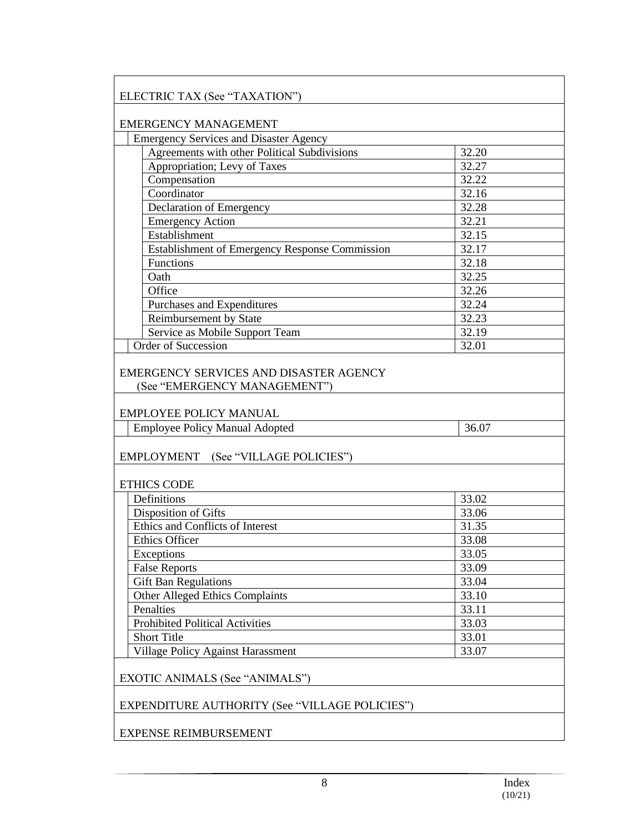| <b>Emergency Services and Disaster Agency</b>                 |       |
|---------------------------------------------------------------|-------|
| Agreements with other Political Subdivisions                  | 32.20 |
| Appropriation; Levy of Taxes                                  | 32.27 |
| Compensation                                                  | 32.22 |
| Coordinator                                                   | 32.16 |
| Declaration of Emergency                                      | 32.28 |
| <b>Emergency Action</b>                                       | 32.21 |
| Establishment                                                 | 32.15 |
| Establishment of Emergency Response Commission                | 32.17 |
| Functions                                                     | 32.18 |
| Oath                                                          | 32.25 |
| Office                                                        | 32.26 |
| Purchases and Expenditures                                    | 32.24 |
| Reimbursement by State                                        | 32.23 |
| Service as Mobile Support Team                                | 32.19 |
| <b>Order of Succession</b>                                    | 32.01 |
| (See "EMERGENCY MANAGEMENT")<br><b>EMPLOYEE POLICY MANUAL</b> |       |
| <b>Employee Policy Manual Adopted</b>                         | 36.07 |
|                                                               |       |
| <b>EMPLOYMENT</b><br>(See "VILLAGE POLICIES")                 |       |
| <b>ETHICS CODE</b>                                            |       |
| Definitions                                                   | 33.02 |
| Disposition of Gifts                                          | 33.06 |
| Ethics and Conflicts of Interest                              | 31.35 |
| <b>Ethics Officer</b>                                         | 33.08 |
| Exceptions                                                    | 33.05 |
| <b>False Reports</b>                                          | 33.09 |
| <b>Gift Ban Regulations</b>                                   | 33.04 |
| <b>Other Alleged Ethics Complaints</b>                        | 33.10 |
| Penalties                                                     | 33.11 |
| <b>Prohibited Political Activities</b>                        | 33.03 |
| <b>Short Title</b>                                            | 33.01 |
| <b>Village Policy Against Harassment</b>                      | 33.07 |
| EXOTIC ANIMALS (See "ANIMALS")                                |       |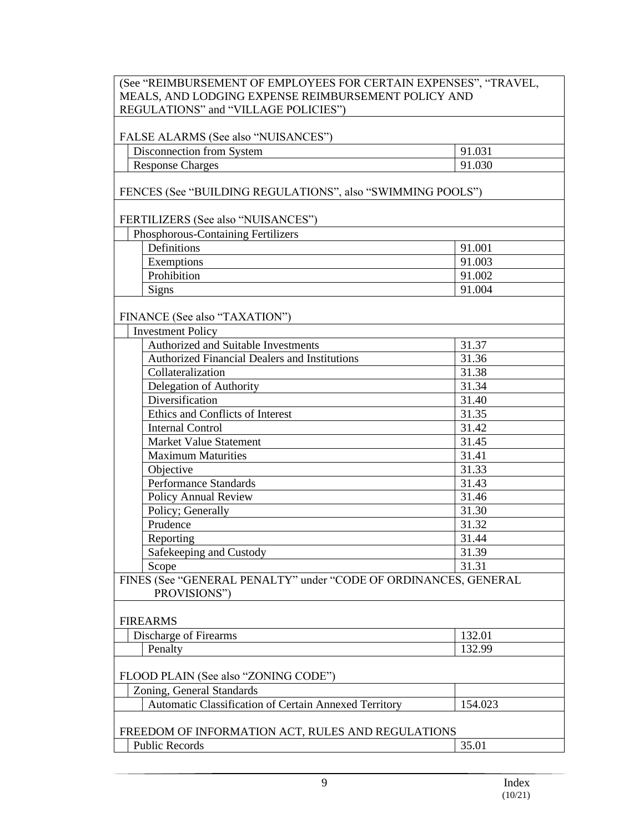# (See "REIMBURSEMENT OF EMPLOYEES FOR CERTAIN EXPENSES", "TRAVEL, MEALS, AND LODGING EXPENSE REIMBURSEMENT POLICY AND REGULATIONS" and "VILLAGE POLICIES")

#### FALSE ALARMS (See also "NUISANCES")

Disconnection from System 91.031 Response Charges 91.030

FENCES (See "BUILDING REGULATIONS", also "SWIMMING POOLS")

## FERTILIZERS (See also "NUISANCES")

| <b>Phosphorous-Containing Fertilizers</b> |                    |        |
|-------------------------------------------|--------------------|--------|
|                                           | <b>Definitions</b> | 91.001 |
|                                           | Exemptions         | 91.003 |
|                                           | Prohibition        | 91.002 |
|                                           | Signs              | 91.004 |

## FINANCE (See also "TAXATION")

| <b>Investment Policy</b>                                       |       |  |  |
|----------------------------------------------------------------|-------|--|--|
| Authorized and Suitable Investments                            | 31.37 |  |  |
| <b>Authorized Financial Dealers and Institutions</b>           | 31.36 |  |  |
| Collateralization                                              | 31.38 |  |  |
| Delegation of Authority                                        | 31.34 |  |  |
| Diversification                                                | 31.40 |  |  |
| Ethics and Conflicts of Interest                               | 31.35 |  |  |
| <b>Internal Control</b>                                        | 31.42 |  |  |
| <b>Market Value Statement</b>                                  | 31.45 |  |  |
| <b>Maximum Maturities</b>                                      | 31.41 |  |  |
| Objective                                                      | 31.33 |  |  |
| <b>Performance Standards</b>                                   | 31.43 |  |  |
| <b>Policy Annual Review</b>                                    | 31.46 |  |  |
| Policy; Generally                                              | 31.30 |  |  |
| Prudence                                                       | 31.32 |  |  |
| Reporting                                                      | 31.44 |  |  |
| Safekeeping and Custody                                        | 31.39 |  |  |
| Scope                                                          | 31.31 |  |  |
| TNES (See "GENERAL PENALTY" under "CODE OF ORDINANCES, GENERAL |       |  |  |

FINES (See "GENERAL PENALTY" under "CODE OF ORDINANCES, GENERAL PROVISIONS")

# FIREARMS

| $\mathbf{r}$<br>$\overline{\phantom{a}}$<br>'irearms<br>Discharge<br>$\mathbf{O}$ | $\sim$<br>194.VI |
|-----------------------------------------------------------------------------------|------------------|
| $\mathbf{r}$                                                                      | $\Omega$         |
| enalty                                                                            |                  |

#### FLOOD PLAIN (See also "ZONING CODE")

Zoning, General Standards

Automatic Classification of Certain Annexed Territory 154.023

# FREEDOM OF INFORMATION ACT, RULES AND REGULATIONS Public Records 35.01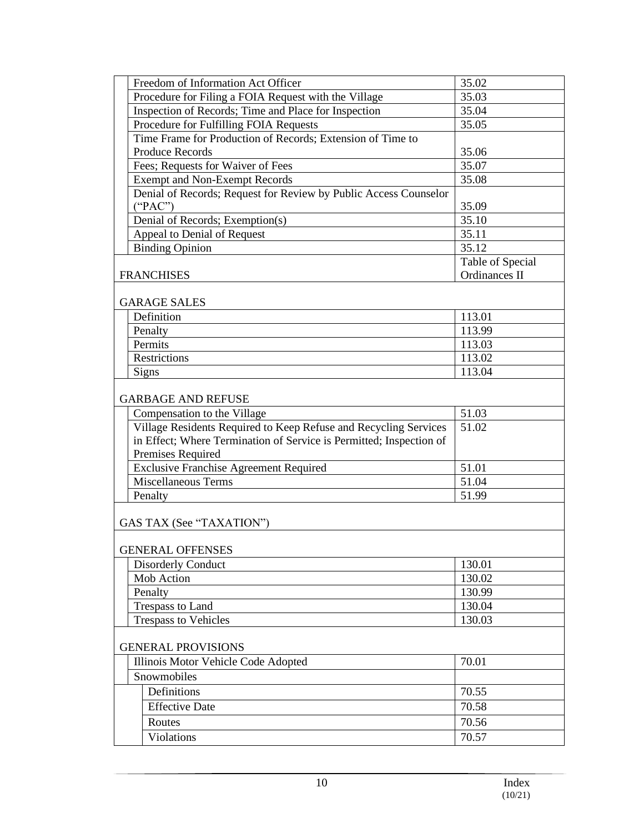| Freedom of Information Act Officer                                  | 35.02            |
|---------------------------------------------------------------------|------------------|
| Procedure for Filing a FOIA Request with the Village                | 35.03            |
| Inspection of Records; Time and Place for Inspection                | 35.04            |
| Procedure for Fulfilling FOIA Requests                              | 35.05            |
| Time Frame for Production of Records; Extension of Time to          |                  |
| <b>Produce Records</b>                                              | 35.06            |
| Fees; Requests for Waiver of Fees                                   | 35.07            |
| <b>Exempt and Non-Exempt Records</b>                                | 35.08            |
| Denial of Records; Request for Review by Public Access Counselor    |                  |
| ("PAC")                                                             | 35.09            |
| Denial of Records; Exemption(s)                                     | 35.10            |
| Appeal to Denial of Request                                         | 35.11            |
| <b>Binding Opinion</b>                                              | 35.12            |
|                                                                     | Table of Special |
| <b>FRANCHISES</b>                                                   | Ordinances II    |
|                                                                     |                  |
| <b>GARAGE SALES</b>                                                 |                  |
| Definition                                                          | 113.01           |
| Penalty                                                             | 113.99           |
| Permits                                                             | 113.03           |
| Restrictions                                                        | 113.02           |
| <b>Signs</b>                                                        | 113.04           |
|                                                                     |                  |
| <b>GARBAGE AND REFUSE</b>                                           |                  |
| Compensation to the Village                                         | 51.03            |
| Village Residents Required to Keep Refuse and Recycling Services    | 51.02            |
| in Effect; Where Termination of Service is Permitted; Inspection of |                  |
| Premises Required                                                   |                  |
| <b>Exclusive Franchise Agreement Required</b>                       | 51.01            |
| Miscellaneous Terms                                                 | 51.04            |
| Penalty                                                             | 51.99            |
|                                                                     |                  |
| GAS TAX (See "TAXATION")                                            |                  |
| <b>GENERAL OFFENSES</b>                                             |                  |
| <b>Disorderly Conduct</b>                                           | 130.01           |
| Mob Action                                                          | 130.02           |
| Penalty                                                             | 130.99           |
| Trespass to Land                                                    | 130.04           |
| <b>Trespass to Vehicles</b>                                         | 130.03           |
|                                                                     |                  |
| <b>GENERAL PROVISIONS</b>                                           |                  |
| Illinois Motor Vehicle Code Adopted                                 | 70.01            |
| Snowmobiles                                                         |                  |
| Definitions                                                         | 70.55            |
| <b>Effective Date</b>                                               | 70.58            |
| Routes                                                              | 70.56            |
|                                                                     |                  |
| Violations                                                          | 70.57            |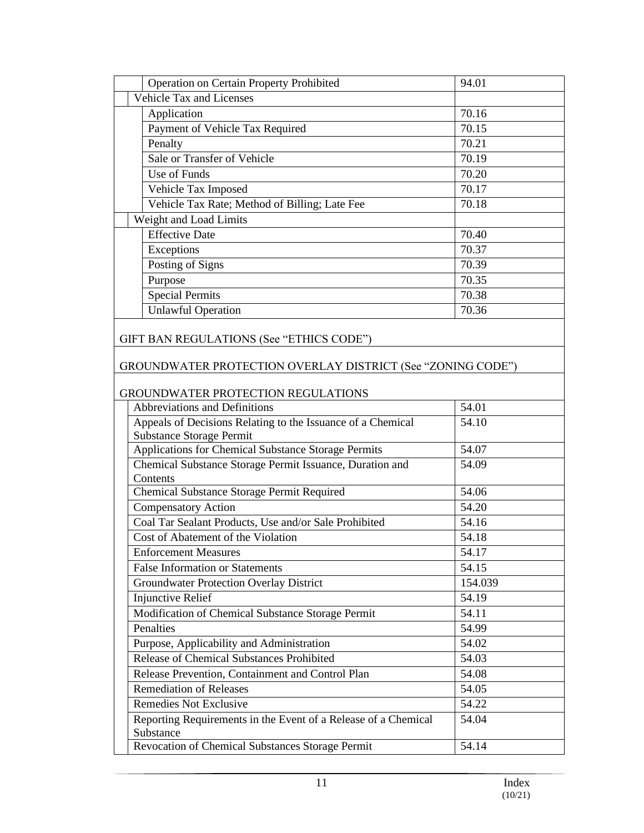| Operation on Certain Property Prohibited                                                       | 94.01   |
|------------------------------------------------------------------------------------------------|---------|
| Vehicle Tax and Licenses                                                                       |         |
| Application                                                                                    | 70.16   |
| Payment of Vehicle Tax Required                                                                | 70.15   |
| Penalty                                                                                        | 70.21   |
| Sale or Transfer of Vehicle                                                                    | 70.19   |
| Use of Funds                                                                                   | 70.20   |
| Vehicle Tax Imposed                                                                            | 70.17   |
| Vehicle Tax Rate; Method of Billing; Late Fee                                                  | 70.18   |
| Weight and Load Limits                                                                         |         |
| <b>Effective Date</b>                                                                          | 70.40   |
| Exceptions                                                                                     | 70.37   |
| Posting of Signs                                                                               | 70.39   |
| Purpose                                                                                        | 70.35   |
| <b>Special Permits</b>                                                                         | 70.38   |
| <b>Unlawful Operation</b>                                                                      | 70.36   |
| GIFT BAN REGULATIONS (See "ETHICS CODE")                                                       |         |
| GROUNDWATER PROTECTION OVERLAY DISTRICT (See "ZONING CODE")                                    |         |
|                                                                                                |         |
| GROUNDWATER PROTECTION REGULATIONS                                                             |         |
| Abbreviations and Definitions                                                                  | 54.01   |
| Appeals of Decisions Relating to the Issuance of a Chemical<br><b>Substance Storage Permit</b> | 54.10   |
| Applications for Chemical Substance Storage Permits                                            | 54.07   |
| Chemical Substance Storage Permit Issuance, Duration and                                       | 54.09   |
| Contents                                                                                       |         |
| Chemical Substance Storage Permit Required                                                     | 54.06   |
| <b>Compensatory Action</b>                                                                     | 54.20   |
| Coal Tar Sealant Products, Use and/or Sale Prohibited                                          | 54.16   |
| Cost of Abatement of the Violation                                                             | 54.18   |
| <b>Enforcement Measures</b>                                                                    | 54.17   |
| <b>False Information or Statements</b>                                                         | 54.15   |
| <b>Groundwater Protection Overlay District</b>                                                 | 154.039 |
| Injunctive Relief                                                                              | 54.19   |
| Modification of Chemical Substance Storage Permit                                              | 54.11   |
| Penalties                                                                                      | 54.99   |
| Purpose, Applicability and Administration                                                      | 54.02   |
| Release of Chemical Substances Prohibited                                                      | 54.03   |
| Release Prevention, Containment and Control Plan                                               | 54.08   |
| <b>Remediation of Releases</b>                                                                 | 54.05   |
| Remedies Not Exclusive                                                                         | 54.22   |
| Reporting Requirements in the Event of a Release of a Chemical                                 | 54.04   |
| Substance                                                                                      |         |
| Revocation of Chemical Substances Storage Permit                                               | 54.14   |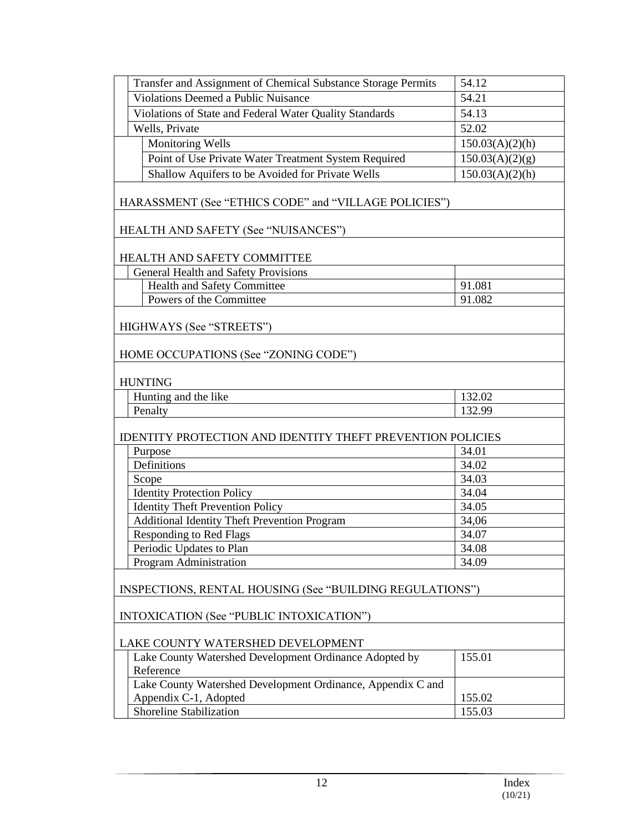| Transfer and Assignment of Chemical Substance Storage Permits     | 54.12           |
|-------------------------------------------------------------------|-----------------|
| <b>Violations Deemed a Public Nuisance</b>                        | 54.21           |
| Violations of State and Federal Water Quality Standards           | 54.13           |
| Wells, Private                                                    | 52.02           |
| <b>Monitoring Wells</b>                                           | 150.03(A)(2)(h) |
| Point of Use Private Water Treatment System Required              | 150.03(A)(2)(g) |
| Shallow Aquifers to be Avoided for Private Wells                  | 150.03(A)(2)(h) |
| HARASSMENT (See "ETHICS CODE" and "VILLAGE POLICIES")             |                 |
| HEALTH AND SAFETY (See "NUISANCES")                               |                 |
| HEALTH AND SAFETY COMMITTEE                                       |                 |
| General Health and Safety Provisions                              |                 |
| Health and Safety Committee                                       | 91.081          |
| Powers of the Committee                                           | 91.082          |
| HIGHWAYS (See "STREETS")                                          |                 |
| HOME OCCUPATIONS (See "ZONING CODE")                              |                 |
| <b>HUNTING</b>                                                    |                 |
| Hunting and the like                                              | 132.02          |
| Penalty                                                           | 132.99          |
| <b>IDENTITY PROTECTION AND IDENTITY THEFT PREVENTION POLICIES</b> |                 |
| Purpose                                                           | 34.01           |
| Definitions                                                       | 34.02           |
| Scope                                                             | 34.03           |
| <b>Identity Protection Policy</b>                                 | 34.04           |
| <b>Identity Theft Prevention Policy</b>                           | 34.05           |
| <b>Additional Identity Theft Prevention Program</b>               | 34,06           |
| <b>Responding to Red Flags</b>                                    | 34.07           |
| Periodic Updates to Plan                                          | 34.08           |
| Program Administration                                            | 34.09           |
| INSPECTIONS, RENTAL HOUSING (See "BUILDING REGULATIONS")          |                 |
| INTOXICATION (See "PUBLIC INTOXICATION")                          |                 |
| LAKE COUNTY WATERSHED DEVELOPMENT                                 |                 |
| Lake County Watershed Development Ordinance Adopted by            | 155.01          |
| Reference                                                         |                 |
| Lake County Watershed Development Ordinance, Appendix C and       |                 |
| Appendix C-1, Adopted                                             | 155.02          |
| Shoreline Stabilization                                           | 155.03          |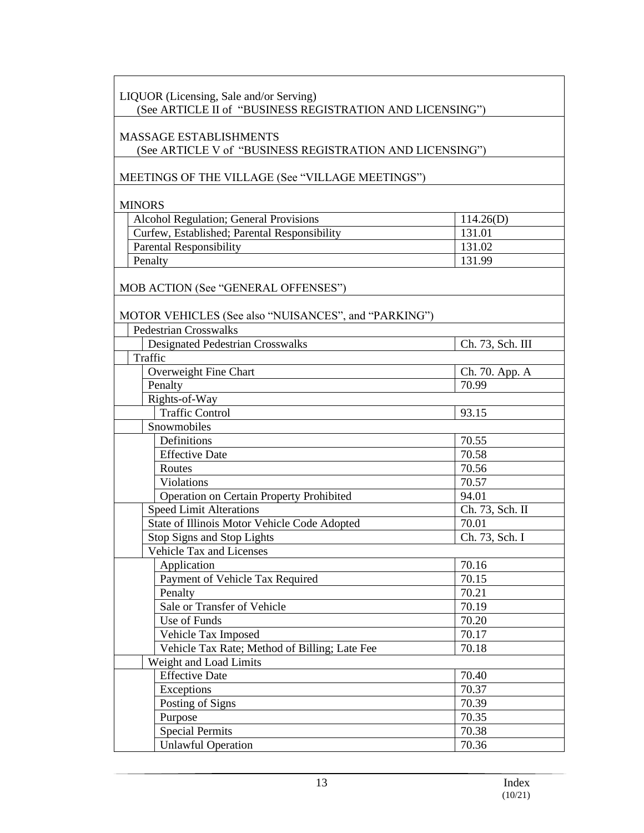# LIQUOR (Licensing, Sale and/or Serving)

(See ARTICLE II of "BUSINESS REGISTRATION AND LICENSING")

## MASSAGE ESTABLISHMENTS

(See ARTICLE V of "BUSINESS REGISTRATION AND LICENSING")

MEETINGS OF THE VILLAGE (See "VILLAGE MEETINGS")

MINORS

| Alcohol Regulation; General Provisions       | 114.26(D) |
|----------------------------------------------|-----------|
| Curfew, Established; Parental Responsibility | 131.01    |
| Parental Responsibility                      | 131.02    |
| Penalty                                      | 131.99    |

MOB ACTION (See "GENERAL OFFENSES")

## MOTOR VEHICLES (See also "NUISANCES", and "PARKING")

| <b>Pedestrian Crosswalks</b>                  |                  |
|-----------------------------------------------|------------------|
| <b>Designated Pedestrian Crosswalks</b>       | Ch. 73, Sch. III |
| Traffic                                       |                  |
| Overweight Fine Chart                         | Ch. 70. App. A   |
| Penalty                                       | 70.99            |
| Rights-of-Way                                 |                  |
| <b>Traffic Control</b>                        | 93.15            |
| Snowmobiles                                   |                  |
| Definitions                                   | 70.55            |
| <b>Effective Date</b>                         | 70.58            |
| Routes                                        | 70.56            |
| Violations                                    | 70.57            |
| Operation on Certain Property Prohibited      | 94.01            |
| <b>Speed Limit Alterations</b>                | Ch. 73, Sch. II  |
| State of Illinois Motor Vehicle Code Adopted  | 70.01            |
| Stop Signs and Stop Lights                    | Ch. 73, Sch. I   |
| Vehicle Tax and Licenses                      |                  |
| Application                                   | 70.16            |
| Payment of Vehicle Tax Required               | 70.15            |
| Penalty                                       | 70.21            |
| Sale or Transfer of Vehicle                   | 70.19            |
| Use of Funds                                  | 70.20            |
| Vehicle Tax Imposed                           | 70.17            |
| Vehicle Tax Rate; Method of Billing; Late Fee | 70.18            |
| Weight and Load Limits                        |                  |
| <b>Effective Date</b>                         | 70.40            |
| Exceptions                                    | 70.37            |
| Posting of Signs                              | 70.39            |
| Purpose                                       | 70.35            |
| <b>Special Permits</b>                        | 70.38            |
| <b>Unlawful Operation</b>                     | 70.36            |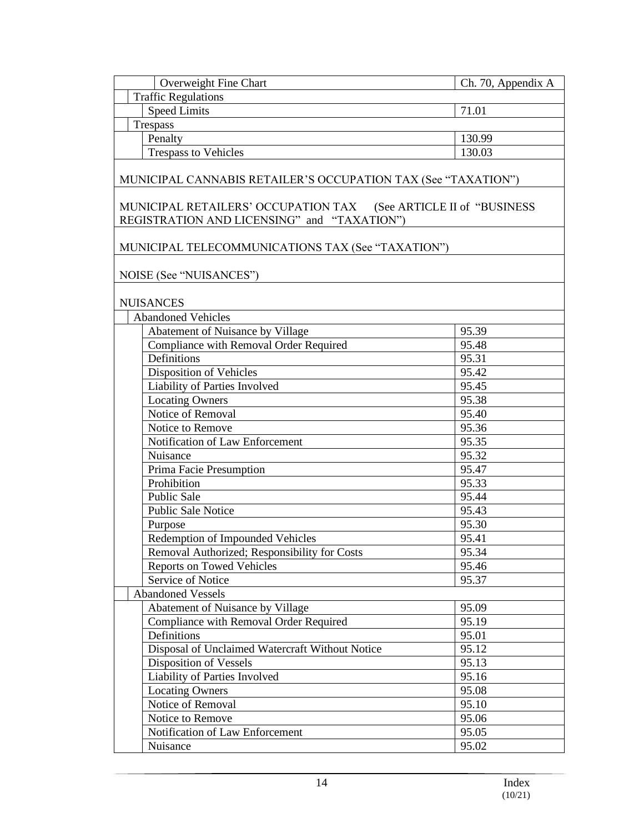| Overweight Fine Chart                                                                                            | Ch. 70, Appendix A |
|------------------------------------------------------------------------------------------------------------------|--------------------|
| <b>Traffic Regulations</b>                                                                                       |                    |
| <b>Speed Limits</b>                                                                                              | 71.01              |
| Trespass                                                                                                         |                    |
| Penalty                                                                                                          | 130.99             |
| <b>Trespass to Vehicles</b>                                                                                      | 130.03             |
| MUNICIPAL CANNABIS RETAILER'S OCCUPATION TAX (See "TAXATION")                                                    |                    |
| MUNICIPAL RETAILERS' OCCUPATION TAX (See ARTICLE II of "BUSINESS"<br>REGISTRATION AND LICENSING" and "TAXATION") |                    |
| MUNICIPAL TELECOMMUNICATIONS TAX (See "TAXATION")                                                                |                    |
| NOISE (See "NUISANCES")                                                                                          |                    |
| <b>NUISANCES</b>                                                                                                 |                    |
| <b>Abandoned Vehicles</b>                                                                                        |                    |
| Abatement of Nuisance by Village                                                                                 | 95.39              |
| Compliance with Removal Order Required                                                                           | 95.48              |
| Definitions                                                                                                      | 95.31              |
| Disposition of Vehicles                                                                                          | 95.42              |
| Liability of Parties Involved                                                                                    | 95.45              |
| <b>Locating Owners</b>                                                                                           | 95.38              |
| Notice of Removal                                                                                                | 95.40              |
| Notice to Remove                                                                                                 | 95.36              |
| Notification of Law Enforcement                                                                                  | 95.35              |
| Nuisance                                                                                                         | 95.32              |
| Prima Facie Presumption                                                                                          | 95.47              |
| Prohibition                                                                                                      | 95.33              |
| <b>Public Sale</b>                                                                                               | 95.44              |
| <b>Public Sale Notice</b>                                                                                        | 95.43              |
| Purpose                                                                                                          | 95.30              |
| Redemption of Impounded Vehicles                                                                                 | 95.41              |
| Removal Authorized; Responsibility for Costs                                                                     | 95.34              |
| <b>Reports on Towed Vehicles</b>                                                                                 | 95.46              |
| Service of Notice                                                                                                | 95.37              |
| <b>Abandoned Vessels</b>                                                                                         |                    |
| Abatement of Nuisance by Village                                                                                 | 95.09              |
| Compliance with Removal Order Required                                                                           | 95.19              |
| Definitions                                                                                                      | 95.01              |
| Disposal of Unclaimed Watercraft Without Notice                                                                  | 95.12              |
| <b>Disposition of Vessels</b>                                                                                    | 95.13              |
| Liability of Parties Involved                                                                                    | 95.16              |
| <b>Locating Owners</b>                                                                                           | 95.08              |
| Notice of Removal                                                                                                | 95.10              |
| Notice to Remove                                                                                                 | 95.06              |
| Notification of Law Enforcement                                                                                  |                    |
|                                                                                                                  | 95.05              |
| Nuisance                                                                                                         | 95.02              |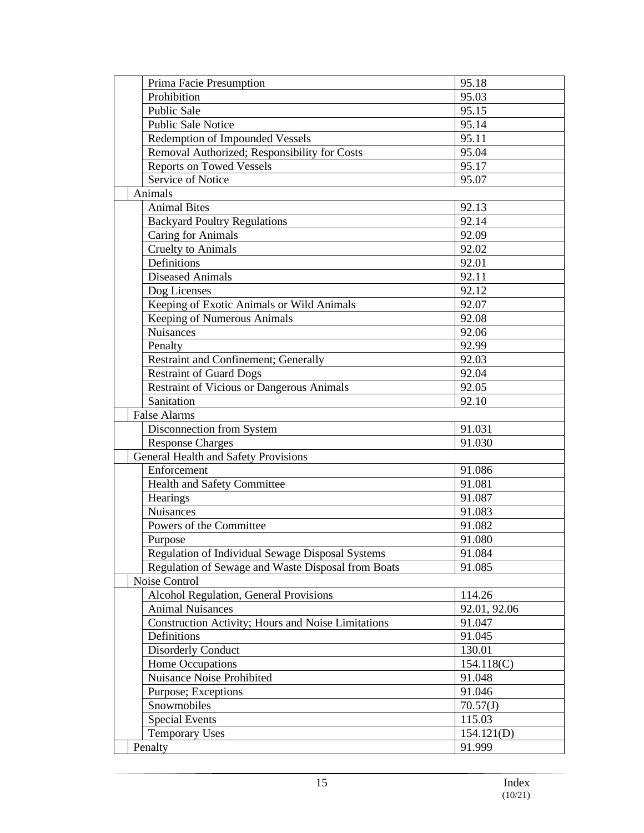| Prima Facie Presumption                            | 95.18        |
|----------------------------------------------------|--------------|
| Prohibition                                        | 95.03        |
| <b>Public Sale</b>                                 | 95.15        |
| <b>Public Sale Notice</b>                          | 95.14        |
| Redemption of Impounded Vessels                    | 95.11        |
| Removal Authorized; Responsibility for Costs       | 95.04        |
| <b>Reports on Towed Vessels</b>                    | 95.17        |
| Service of Notice                                  | 95.07        |
| Animals                                            |              |
| <b>Animal Bites</b>                                | 92.13        |
| <b>Backyard Poultry Regulations</b>                | 92.14        |
| Caring for Animals                                 | 92.09        |
| <b>Cruelty to Animals</b>                          | 92.02        |
| Definitions                                        | 92.01        |
| <b>Diseased Animals</b>                            | 92.11        |
| Dog Licenses                                       | 92.12        |
| Keeping of Exotic Animals or Wild Animals          | 92.07        |
| <b>Keeping of Numerous Animals</b>                 | 92.08        |
| Nuisances                                          | 92.06        |
| Penalty                                            | 92.99        |
| <b>Restraint and Confinement; Generally</b>        | 92.03        |
| <b>Restraint of Guard Dogs</b>                     | 92.04        |
| <b>Restraint of Vicious or Dangerous Animals</b>   | 92.05        |
| Sanitation                                         | 92.10        |
| <b>False Alarms</b>                                |              |
| Disconnection from System                          | 91.031       |
| <b>Response Charges</b>                            | 91.030       |
| General Health and Safety Provisions               |              |
| Enforcement                                        | 91.086       |
| Health and Safety Committee                        | 91.081       |
| Hearings                                           | 91.087       |
| <b>Nuisances</b>                                   | 91.083       |
| Powers of the Committee                            | 91.082       |
| Purpose                                            | 91.080       |
| Regulation of Individual Sewage Disposal Systems   | 91.084       |
| Regulation of Sewage and Waste Disposal from Boats | 91.085       |
| Noise Control                                      |              |
| Alcohol Regulation, General Provisions             | 114.26       |
| <b>Animal Nuisances</b>                            | 92.01, 92.06 |
| Construction Activity; Hours and Noise Limitations | 91.047       |
| Definitions                                        | 91.045       |
|                                                    |              |
| <b>Disorderly Conduct</b><br>Home Occupations      | 130.01       |
|                                                    | 154.118(C)   |
| Nuisance Noise Prohibited                          | 91.048       |
| Purpose; Exceptions                                | 91.046       |
| Snowmobiles                                        | 70.57(J)     |
| <b>Special Events</b>                              | 115.03       |
| <b>Temporary Uses</b>                              | 154.121(D)   |
| Penalty                                            | 91.999       |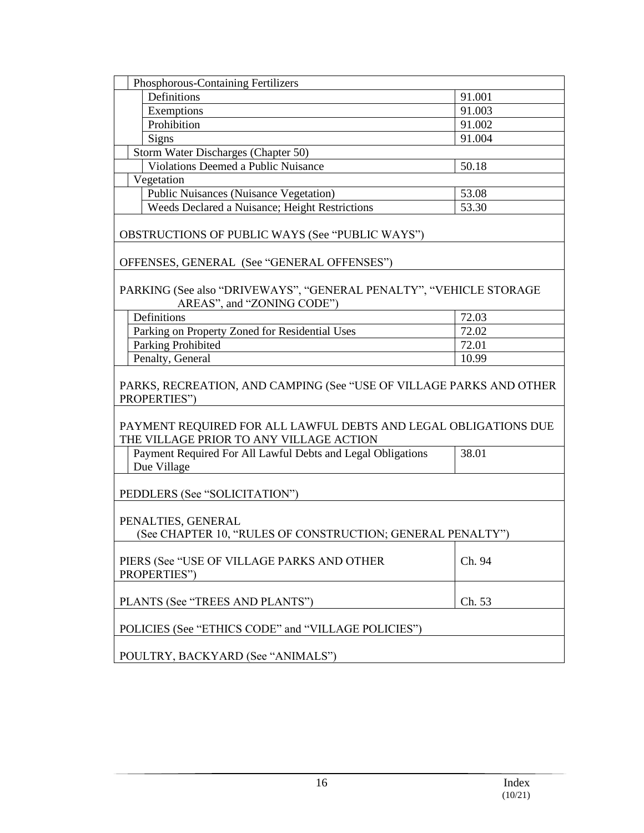| Phosphorous-Containing Fertilizers                                                                         |        |
|------------------------------------------------------------------------------------------------------------|--------|
| Definitions                                                                                                | 91.001 |
| Exemptions                                                                                                 | 91.003 |
| Prohibition                                                                                                | 91.002 |
| Signs                                                                                                      | 91.004 |
| Storm Water Discharges (Chapter 50)                                                                        |        |
| Violations Deemed a Public Nuisance                                                                        | 50.18  |
| Vegetation                                                                                                 |        |
| <b>Public Nuisances (Nuisance Vegetation)</b>                                                              | 53.08  |
| Weeds Declared a Nuisance; Height Restrictions                                                             | 53.30  |
| <b>OBSTRUCTIONS OF PUBLIC WAYS (See "PUBLIC WAYS")</b>                                                     |        |
| OFFENSES, GENERAL (See "GENERAL OFFENSES")                                                                 |        |
| PARKING (See also "DRIVEWAYS", "GENERAL PENALTY", "VEHICLE STORAGE<br>AREAS", and "ZONING CODE")           |        |
| Definitions                                                                                                | 72.03  |
| Parking on Property Zoned for Residential Uses                                                             | 72.02  |
| Parking Prohibited                                                                                         | 72.01  |
| Penalty, General                                                                                           | 10.99  |
| PARKS, RECREATION, AND CAMPING (See "USE OF VILLAGE PARKS AND OTHER<br>PROPERTIES")                        |        |
| PAYMENT REQUIRED FOR ALL LAWFUL DEBTS AND LEGAL OBLIGATIONS DUE<br>THE VILLAGE PRIOR TO ANY VILLAGE ACTION |        |
| Payment Required For All Lawful Debts and Legal Obligations<br>Due Village                                 | 38.01  |
| PEDDLERS (See "SOLICITATION")                                                                              |        |
| PENALTIES, GENERAL<br>(See CHAPTER 10, "RULES OF CONSTRUCTION; GENERAL PENALTY")                           |        |
| PIERS (See "USE OF VILLAGE PARKS AND OTHER<br>PROPERTIES")                                                 | Ch. 94 |
| PLANTS (See "TREES AND PLANTS")                                                                            | Ch. 53 |
| POLICIES (See "ETHICS CODE" and "VILLAGE POLICIES")                                                        |        |
| POULTRY, BACKYARD (See "ANIMALS")                                                                          |        |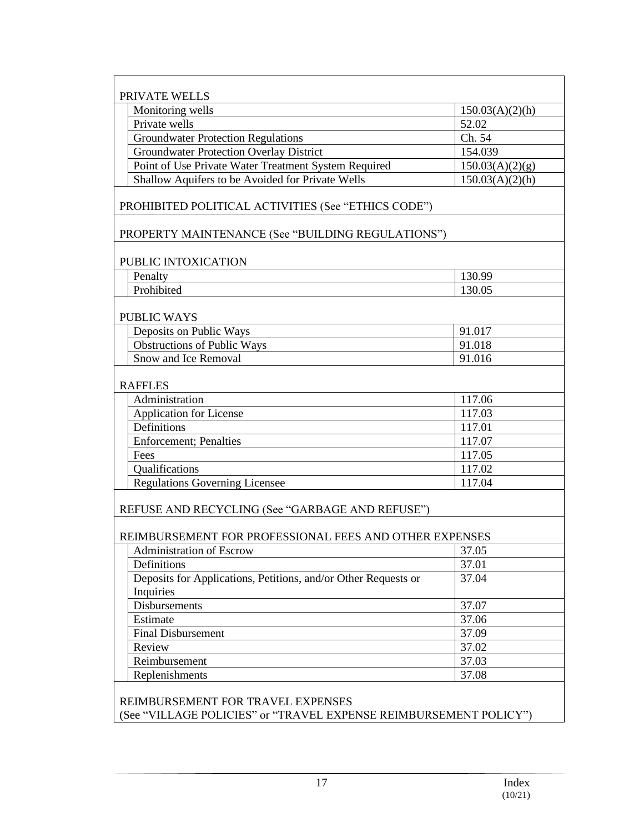| Monitoring wells                                               | 150.03(A)(2)(h) |
|----------------------------------------------------------------|-----------------|
| Private wells                                                  | 52.02           |
| <b>Groundwater Protection Regulations</b>                      | Ch. 54          |
| <b>Groundwater Protection Overlay District</b>                 | 154.039         |
| Point of Use Private Water Treatment System Required           | 150.03(A)(2)(g) |
| Shallow Aquifers to be Avoided for Private Wells               | 150.03(A)(2)(h) |
| PROHIBITED POLITICAL ACTIVITIES (See "ETHICS CODE")            |                 |
| PROPERTY MAINTENANCE (See "BUILDING REGULATIONS")              |                 |
| PUBLIC INTOXICATION                                            |                 |
| Penalty                                                        | 130.99          |
| Prohibited                                                     | 130.05          |
| <b>PUBLIC WAYS</b>                                             |                 |
| Deposits on Public Ways                                        | 91.017          |
| <b>Obstructions of Public Ways</b>                             | 91.018          |
| Snow and Ice Removal                                           | 91.016          |
| <b>RAFFLES</b>                                                 |                 |
| Administration                                                 | 117.06          |
| Application for License                                        | 117.03          |
| Definitions                                                    | 117.01          |
| <b>Enforcement</b> ; Penalties                                 | 117.07          |
| Fees                                                           | 117.05          |
| Qualifications                                                 | 117.02          |
| <b>Regulations Governing Licensee</b>                          | 117.04          |
| REFUSE AND RECYCLING (See "GARBAGE AND REFUSE")                |                 |
|                                                                |                 |
| REIMBURSEMENT FOR PROFESSIONAL FEES AND OTHER EXPENSES         |                 |
| Administration of Escrow                                       | 37.05           |
| Definitions                                                    | 37.01           |
| Deposits for Applications, Petitions, and/or Other Requests or | 37.04           |
| Inquiries                                                      |                 |
| Disbursements                                                  | 37.07           |
| Estimate                                                       | 37.06           |
| <b>Final Disbursement</b>                                      | 37.09           |
| Review                                                         | 37.02           |
| Reimbursement                                                  | 37.03           |
| Replenishments                                                 | 37.08           |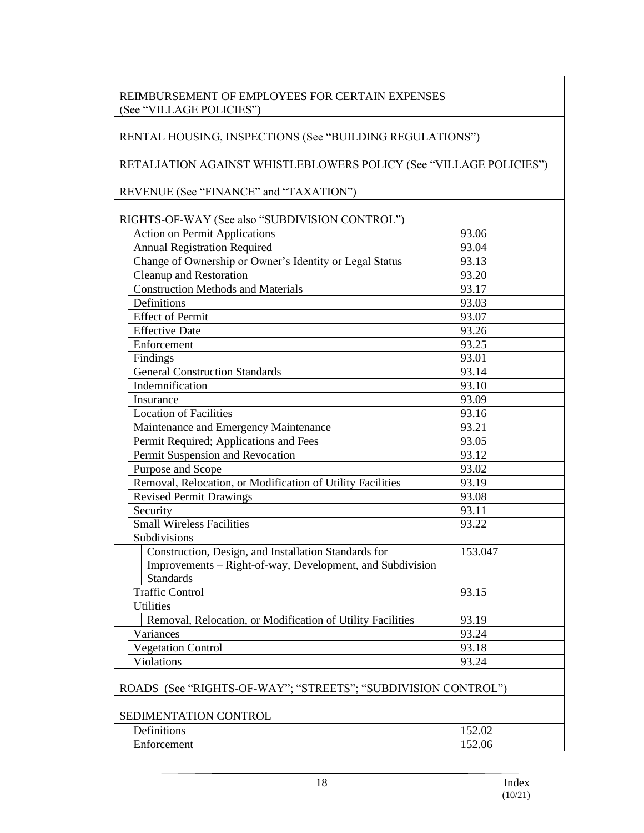# REIMBURSEMENT OF EMPLOYEES FOR CERTAIN EXPENSES (See "VILLAGE POLICIES")

#### RENTAL HOUSING, INSPECTIONS (See "BUILDING REGULATIONS")

#### RETALIATION AGAINST WHISTLEBLOWERS POLICY (See "VILLAGE POLICIES")

REVENUE (See "FINANCE" and "TAXATION")

# RIGHTS-OF-WAY (See also "SUBDIVISION CONTROL")

| <b>Action on Permit Applications</b>                          | 93.06   |
|---------------------------------------------------------------|---------|
| <b>Annual Registration Required</b>                           | 93.04   |
| Change of Ownership or Owner's Identity or Legal Status       | 93.13   |
| <b>Cleanup and Restoration</b>                                | 93.20   |
| <b>Construction Methods and Materials</b>                     | 93.17   |
| Definitions                                                   | 93.03   |
| <b>Effect of Permit</b>                                       | 93.07   |
| <b>Effective Date</b>                                         | 93.26   |
| Enforcement                                                   | 93.25   |
| Findings                                                      | 93.01   |
| <b>General Construction Standards</b>                         | 93.14   |
| Indemnification                                               | 93.10   |
| Insurance                                                     | 93.09   |
| <b>Location of Facilities</b>                                 | 93.16   |
| Maintenance and Emergency Maintenance                         | 93.21   |
| Permit Required; Applications and Fees                        | 93.05   |
| Permit Suspension and Revocation                              | 93.12   |
| Purpose and Scope                                             | 93.02   |
| Removal, Relocation, or Modification of Utility Facilities    | 93.19   |
| <b>Revised Permit Drawings</b>                                | 93.08   |
| Security                                                      | 93.11   |
| <b>Small Wireless Facilities</b>                              | 93.22   |
| Subdivisions                                                  |         |
| Construction, Design, and Installation Standards for          | 153.047 |
| Improvements – Right-of-way, Development, and Subdivision     |         |
| <b>Standards</b>                                              |         |
| <b>Traffic Control</b>                                        | 93.15   |
| <b>Utilities</b>                                              |         |
| Removal, Relocation, or Modification of Utility Facilities    | 93.19   |
| Variances                                                     | 93.24   |
| <b>Vegetation Control</b>                                     | 93.18   |
| Violations                                                    | 93.24   |
|                                                               |         |
| ROADS (See "RIGHTS-OF-WAY"; "STREETS"; "SUBDIVISION CONTROL") |         |
|                                                               |         |
| SEDIMENTATION CONTROL                                         |         |
| Dofinitiona                                                   | 15200   |

| ______ | ______                                     |                    |
|--------|--------------------------------------------|--------------------|
|        | $\sim$<br>. .<br>$\sqrt{ }$<br>Definitions | $\Omega$<br>152.02 |
|        | $\blacksquare$<br>Enforcement              | 152.06             |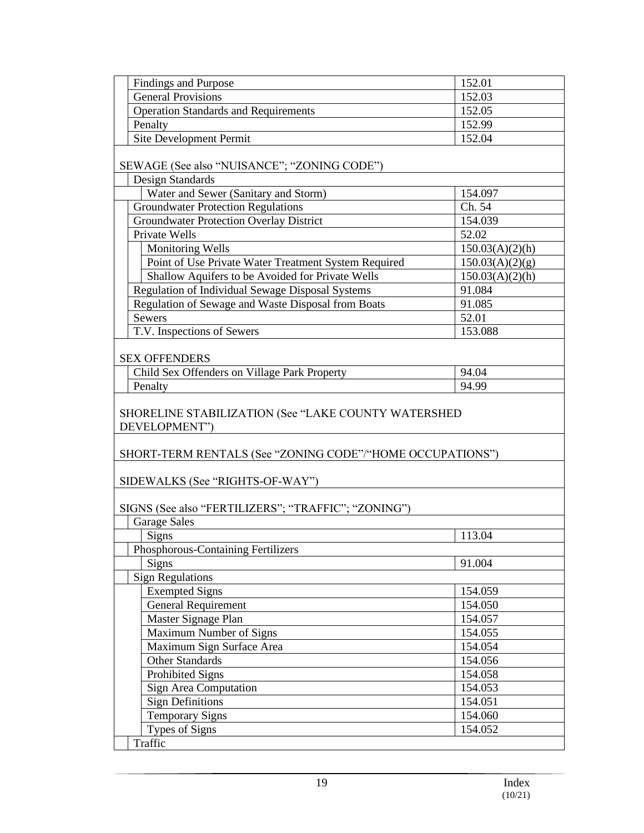| <b>Findings and Purpose</b>                               | 152.01          |
|-----------------------------------------------------------|-----------------|
| <b>General Provisions</b>                                 | 152.03          |
| <b>Operation Standards and Requirements</b>               | 152.05          |
|                                                           |                 |
| Penalty                                                   | 152.99          |
| Site Development Permit                                   | 152.04          |
| SEWAGE (See also "NUISANCE"; "ZONING CODE")               |                 |
| <b>Design Standards</b>                                   |                 |
| Water and Sewer (Sanitary and Storm)                      | 154.097         |
| <b>Groundwater Protection Regulations</b>                 | Ch. 54          |
| <b>Groundwater Protection Overlay District</b>            | 154.039         |
| Private Wells                                             | 52.02           |
| <b>Monitoring Wells</b>                                   | 150.03(A)(2)(h) |
| Point of Use Private Water Treatment System Required      | 150.03(A)(2)(g) |
| Shallow Aquifers to be Avoided for Private Wells          | 150.03(A)(2)(h) |
| Regulation of Individual Sewage Disposal Systems          | 91.084          |
| Regulation of Sewage and Waste Disposal from Boats        | 91.085          |
| <b>Sewers</b>                                             | 52.01           |
| T.V. Inspections of Sewers                                | 153.088         |
|                                                           |                 |
| <b>SEX OFFENDERS</b>                                      |                 |
| Child Sex Offenders on Village Park Property              | 94.04           |
| Penalty                                                   | 94.99           |
|                                                           |                 |
| SHORELINE STABILIZATION (See "LAKE COUNTY WATERSHED       |                 |
| DEVELOPMENT")                                             |                 |
|                                                           |                 |
| SHORT-TERM RENTALS (See "ZONING CODE"/"HOME OCCUPATIONS") |                 |
|                                                           |                 |
| SIDEWALKS (See "RIGHTS-OF-WAY")                           |                 |
|                                                           |                 |
| SIGNS (See also "FERTILIZERS"; "TRAFFIC"; "ZONING")       |                 |
| <b>Garage Sales</b>                                       |                 |
| Signs                                                     | 113.04          |
| Phosphorous-Containing Fertilizers                        |                 |
| <b>Signs</b>                                              | 91.004          |
| <b>Sign Regulations</b>                                   |                 |
| <b>Exempted Signs</b>                                     | 154.059         |
| <b>General Requirement</b>                                | 154.050         |
|                                                           |                 |
| Master Signage Plan                                       | 154.057         |
| Maximum Number of Signs                                   | 154.055         |
| Maximum Sign Surface Area                                 | 154.054         |
| <b>Other Standards</b>                                    | 154.056         |
| <b>Prohibited Signs</b>                                   | 154.058         |
| Sign Area Computation                                     | 154.053         |
| <b>Sign Definitions</b>                                   | 154.051         |
| <b>Temporary Signs</b>                                    | 154.060         |
| <b>Types of Signs</b>                                     | 154.052         |
|                                                           |                 |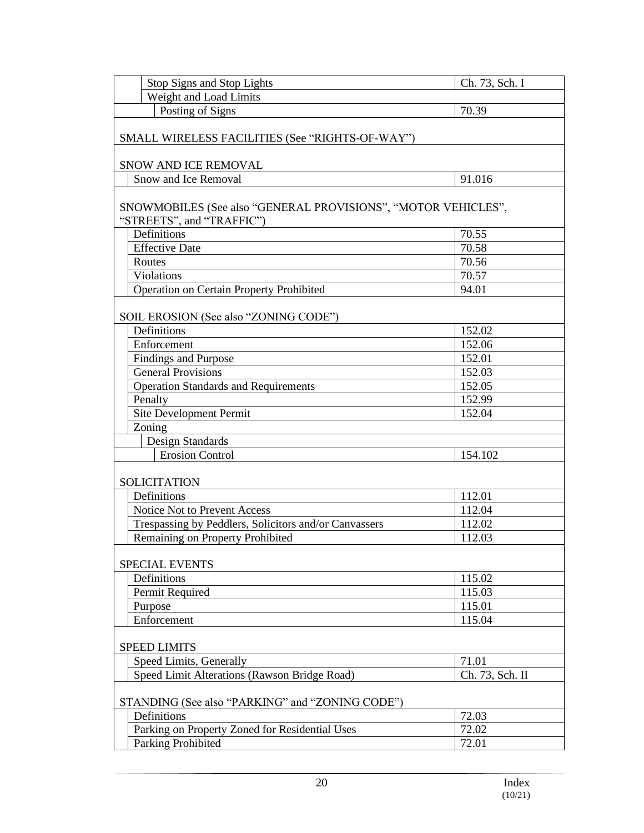| Stop Signs and Stop Lights                                                                                | Ch. 73, Sch. I  |
|-----------------------------------------------------------------------------------------------------------|-----------------|
| Weight and Load Limits                                                                                    |                 |
| Posting of Signs                                                                                          | 70.39           |
| SMALL WIRELESS FACILITIES (See "RIGHTS-OF-WAY")                                                           |                 |
| SNOW AND ICE REMOVAL                                                                                      |                 |
| Snow and Ice Removal                                                                                      | 91.016          |
| SNOWMOBILES (See also "GENERAL PROVISIONS", "MOTOR VEHICLES",<br>"STREETS", and "TRAFFIC")<br>Definitions | 70.55           |
| <b>Effective Date</b>                                                                                     | 70.58           |
| Routes                                                                                                    | 70.56           |
| Violations                                                                                                | 70.57           |
| Operation on Certain Property Prohibited                                                                  | 94.01           |
| SOIL EROSION (See also "ZONING CODE")                                                                     |                 |
| Definitions                                                                                               | 152.02          |
| Enforcement                                                                                               | 152.06          |
| <b>Findings and Purpose</b>                                                                               | 152.01          |
| <b>General Provisions</b>                                                                                 | 152.03          |
| <b>Operation Standards and Requirements</b>                                                               | 152.05          |
| Penalty                                                                                                   | 152.99          |
| Site Development Permit                                                                                   | 152.04          |
| Zoning                                                                                                    |                 |
| Design Standards                                                                                          |                 |
| <b>Erosion Control</b>                                                                                    | 154.102         |
| <b>SOLICITATION</b>                                                                                       |                 |
| Definitions                                                                                               | 112.01          |
| Notice Not to Prevent Access                                                                              | 112.04          |
| Trespassing by Peddlers, Solicitors and/or Canvassers                                                     | 112.02          |
| Remaining on Property Prohibited                                                                          | 112.03          |
| <b>SPECIAL EVENTS</b>                                                                                     |                 |
| Definitions                                                                                               | 115.02          |
| Permit Required                                                                                           | 115.03          |
| Purpose                                                                                                   | 115.01          |
| Enforcement                                                                                               | 115.04          |
|                                                                                                           |                 |
| <b>SPEED LIMITS</b>                                                                                       |                 |
| Speed Limits, Generally                                                                                   | 71.01           |
| Speed Limit Alterations (Rawson Bridge Road)                                                              | Ch. 73, Sch. II |
| STANDING (See also "PARKING" and "ZONING CODE")                                                           |                 |
| Definitions                                                                                               | 72.03           |
| Parking on Property Zoned for Residential Uses                                                            | 72.02           |
| Parking Prohibited                                                                                        | 72.01           |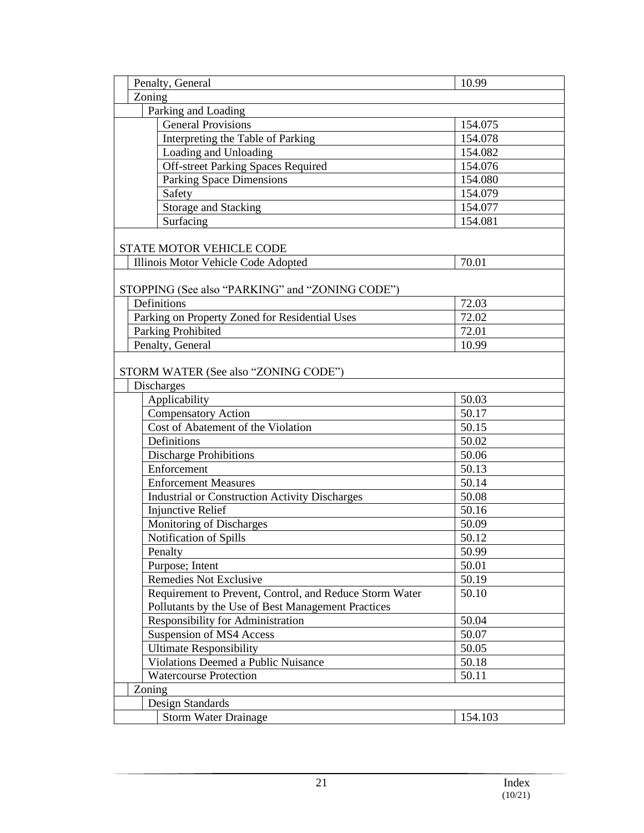| Zoning<br>Parking and Loading<br><b>General Provisions</b><br>154.075<br>Interpreting the Table of Parking<br>154.078<br>Loading and Unloading<br>154.082<br>Off-street Parking Spaces Required<br>154.076<br><b>Parking Space Dimensions</b><br>154.080<br>Safety<br>154.079<br><b>Storage and Stacking</b><br>154.077<br>Surfacing<br>154.081<br>STATE MOTOR VEHICLE CODE<br>Illinois Motor Vehicle Code Adopted<br>70.01<br>STOPPING (See also "PARKING" and "ZONING CODE")<br>Definitions<br>72.03<br>72.02<br>Parking on Property Zoned for Residential Uses<br>Parking Prohibited<br>72.01<br>Penalty, General<br>10.99<br>STORM WATER (See also "ZONING CODE")<br><b>Discharges</b><br>Applicability<br>50.03<br><b>Compensatory Action</b><br>50.17<br>Cost of Abatement of the Violation<br>50.15<br>Definitions<br>50.02<br><b>Discharge Prohibitions</b><br>50.06<br>Enforcement<br>50.13<br>50.14<br><b>Enforcement Measures</b><br>50.08<br><b>Industrial or Construction Activity Discharges</b><br><b>Injunctive Relief</b><br>50.16<br>Monitoring of Discharges<br>50.09<br>Notification of Spills<br>50.12<br>50.99<br>Penalty<br>Purpose; Intent<br>50.01<br><b>Remedies Not Exclusive</b><br>50.19<br>Requirement to Prevent, Control, and Reduce Storm Water<br>50.10<br>Pollutants by the Use of Best Management Practices<br>Responsibility for Administration<br>50.04<br>50.07<br>Suspension of MS4 Access<br><b>Ultimate Responsibility</b><br>50.05<br><b>Violations Deemed a Public Nuisance</b><br>50.18<br><b>Watercourse Protection</b><br>50.11<br>Zoning<br>Design Standards | Penalty, General |                             | 10.99   |  |
|--------------------------------------------------------------------------------------------------------------------------------------------------------------------------------------------------------------------------------------------------------------------------------------------------------------------------------------------------------------------------------------------------------------------------------------------------------------------------------------------------------------------------------------------------------------------------------------------------------------------------------------------------------------------------------------------------------------------------------------------------------------------------------------------------------------------------------------------------------------------------------------------------------------------------------------------------------------------------------------------------------------------------------------------------------------------------------------------------------------------------------------------------------------------------------------------------------------------------------------------------------------------------------------------------------------------------------------------------------------------------------------------------------------------------------------------------------------------------------------------------------------------------------------------------------------------------------------------------------------|------------------|-----------------------------|---------|--|
|                                                                                                                                                                                                                                                                                                                                                                                                                                                                                                                                                                                                                                                                                                                                                                                                                                                                                                                                                                                                                                                                                                                                                                                                                                                                                                                                                                                                                                                                                                                                                                                                              |                  |                             |         |  |
|                                                                                                                                                                                                                                                                                                                                                                                                                                                                                                                                                                                                                                                                                                                                                                                                                                                                                                                                                                                                                                                                                                                                                                                                                                                                                                                                                                                                                                                                                                                                                                                                              |                  |                             |         |  |
|                                                                                                                                                                                                                                                                                                                                                                                                                                                                                                                                                                                                                                                                                                                                                                                                                                                                                                                                                                                                                                                                                                                                                                                                                                                                                                                                                                                                                                                                                                                                                                                                              |                  |                             |         |  |
|                                                                                                                                                                                                                                                                                                                                                                                                                                                                                                                                                                                                                                                                                                                                                                                                                                                                                                                                                                                                                                                                                                                                                                                                                                                                                                                                                                                                                                                                                                                                                                                                              |                  |                             |         |  |
|                                                                                                                                                                                                                                                                                                                                                                                                                                                                                                                                                                                                                                                                                                                                                                                                                                                                                                                                                                                                                                                                                                                                                                                                                                                                                                                                                                                                                                                                                                                                                                                                              |                  |                             |         |  |
|                                                                                                                                                                                                                                                                                                                                                                                                                                                                                                                                                                                                                                                                                                                                                                                                                                                                                                                                                                                                                                                                                                                                                                                                                                                                                                                                                                                                                                                                                                                                                                                                              |                  |                             |         |  |
|                                                                                                                                                                                                                                                                                                                                                                                                                                                                                                                                                                                                                                                                                                                                                                                                                                                                                                                                                                                                                                                                                                                                                                                                                                                                                                                                                                                                                                                                                                                                                                                                              |                  |                             |         |  |
|                                                                                                                                                                                                                                                                                                                                                                                                                                                                                                                                                                                                                                                                                                                                                                                                                                                                                                                                                                                                                                                                                                                                                                                                                                                                                                                                                                                                                                                                                                                                                                                                              |                  |                             |         |  |
|                                                                                                                                                                                                                                                                                                                                                                                                                                                                                                                                                                                                                                                                                                                                                                                                                                                                                                                                                                                                                                                                                                                                                                                                                                                                                                                                                                                                                                                                                                                                                                                                              |                  |                             |         |  |
|                                                                                                                                                                                                                                                                                                                                                                                                                                                                                                                                                                                                                                                                                                                                                                                                                                                                                                                                                                                                                                                                                                                                                                                                                                                                                                                                                                                                                                                                                                                                                                                                              |                  |                             |         |  |
|                                                                                                                                                                                                                                                                                                                                                                                                                                                                                                                                                                                                                                                                                                                                                                                                                                                                                                                                                                                                                                                                                                                                                                                                                                                                                                                                                                                                                                                                                                                                                                                                              |                  |                             |         |  |
|                                                                                                                                                                                                                                                                                                                                                                                                                                                                                                                                                                                                                                                                                                                                                                                                                                                                                                                                                                                                                                                                                                                                                                                                                                                                                                                                                                                                                                                                                                                                                                                                              |                  |                             |         |  |
|                                                                                                                                                                                                                                                                                                                                                                                                                                                                                                                                                                                                                                                                                                                                                                                                                                                                                                                                                                                                                                                                                                                                                                                                                                                                                                                                                                                                                                                                                                                                                                                                              |                  |                             |         |  |
|                                                                                                                                                                                                                                                                                                                                                                                                                                                                                                                                                                                                                                                                                                                                                                                                                                                                                                                                                                                                                                                                                                                                                                                                                                                                                                                                                                                                                                                                                                                                                                                                              |                  |                             |         |  |
|                                                                                                                                                                                                                                                                                                                                                                                                                                                                                                                                                                                                                                                                                                                                                                                                                                                                                                                                                                                                                                                                                                                                                                                                                                                                                                                                                                                                                                                                                                                                                                                                              |                  |                             |         |  |
|                                                                                                                                                                                                                                                                                                                                                                                                                                                                                                                                                                                                                                                                                                                                                                                                                                                                                                                                                                                                                                                                                                                                                                                                                                                                                                                                                                                                                                                                                                                                                                                                              |                  |                             |         |  |
|                                                                                                                                                                                                                                                                                                                                                                                                                                                                                                                                                                                                                                                                                                                                                                                                                                                                                                                                                                                                                                                                                                                                                                                                                                                                                                                                                                                                                                                                                                                                                                                                              |                  |                             |         |  |
|                                                                                                                                                                                                                                                                                                                                                                                                                                                                                                                                                                                                                                                                                                                                                                                                                                                                                                                                                                                                                                                                                                                                                                                                                                                                                                                                                                                                                                                                                                                                                                                                              |                  |                             |         |  |
|                                                                                                                                                                                                                                                                                                                                                                                                                                                                                                                                                                                                                                                                                                                                                                                                                                                                                                                                                                                                                                                                                                                                                                                                                                                                                                                                                                                                                                                                                                                                                                                                              |                  |                             |         |  |
|                                                                                                                                                                                                                                                                                                                                                                                                                                                                                                                                                                                                                                                                                                                                                                                                                                                                                                                                                                                                                                                                                                                                                                                                                                                                                                                                                                                                                                                                                                                                                                                                              |                  |                             |         |  |
|                                                                                                                                                                                                                                                                                                                                                                                                                                                                                                                                                                                                                                                                                                                                                                                                                                                                                                                                                                                                                                                                                                                                                                                                                                                                                                                                                                                                                                                                                                                                                                                                              |                  |                             |         |  |
|                                                                                                                                                                                                                                                                                                                                                                                                                                                                                                                                                                                                                                                                                                                                                                                                                                                                                                                                                                                                                                                                                                                                                                                                                                                                                                                                                                                                                                                                                                                                                                                                              |                  |                             |         |  |
|                                                                                                                                                                                                                                                                                                                                                                                                                                                                                                                                                                                                                                                                                                                                                                                                                                                                                                                                                                                                                                                                                                                                                                                                                                                                                                                                                                                                                                                                                                                                                                                                              |                  |                             |         |  |
|                                                                                                                                                                                                                                                                                                                                                                                                                                                                                                                                                                                                                                                                                                                                                                                                                                                                                                                                                                                                                                                                                                                                                                                                                                                                                                                                                                                                                                                                                                                                                                                                              |                  |                             |         |  |
|                                                                                                                                                                                                                                                                                                                                                                                                                                                                                                                                                                                                                                                                                                                                                                                                                                                                                                                                                                                                                                                                                                                                                                                                                                                                                                                                                                                                                                                                                                                                                                                                              |                  |                             |         |  |
|                                                                                                                                                                                                                                                                                                                                                                                                                                                                                                                                                                                                                                                                                                                                                                                                                                                                                                                                                                                                                                                                                                                                                                                                                                                                                                                                                                                                                                                                                                                                                                                                              |                  |                             |         |  |
|                                                                                                                                                                                                                                                                                                                                                                                                                                                                                                                                                                                                                                                                                                                                                                                                                                                                                                                                                                                                                                                                                                                                                                                                                                                                                                                                                                                                                                                                                                                                                                                                              |                  |                             |         |  |
|                                                                                                                                                                                                                                                                                                                                                                                                                                                                                                                                                                                                                                                                                                                                                                                                                                                                                                                                                                                                                                                                                                                                                                                                                                                                                                                                                                                                                                                                                                                                                                                                              |                  |                             |         |  |
|                                                                                                                                                                                                                                                                                                                                                                                                                                                                                                                                                                                                                                                                                                                                                                                                                                                                                                                                                                                                                                                                                                                                                                                                                                                                                                                                                                                                                                                                                                                                                                                                              |                  |                             |         |  |
|                                                                                                                                                                                                                                                                                                                                                                                                                                                                                                                                                                                                                                                                                                                                                                                                                                                                                                                                                                                                                                                                                                                                                                                                                                                                                                                                                                                                                                                                                                                                                                                                              |                  |                             |         |  |
|                                                                                                                                                                                                                                                                                                                                                                                                                                                                                                                                                                                                                                                                                                                                                                                                                                                                                                                                                                                                                                                                                                                                                                                                                                                                                                                                                                                                                                                                                                                                                                                                              |                  |                             |         |  |
|                                                                                                                                                                                                                                                                                                                                                                                                                                                                                                                                                                                                                                                                                                                                                                                                                                                                                                                                                                                                                                                                                                                                                                                                                                                                                                                                                                                                                                                                                                                                                                                                              |                  |                             |         |  |
|                                                                                                                                                                                                                                                                                                                                                                                                                                                                                                                                                                                                                                                                                                                                                                                                                                                                                                                                                                                                                                                                                                                                                                                                                                                                                                                                                                                                                                                                                                                                                                                                              |                  |                             |         |  |
|                                                                                                                                                                                                                                                                                                                                                                                                                                                                                                                                                                                                                                                                                                                                                                                                                                                                                                                                                                                                                                                                                                                                                                                                                                                                                                                                                                                                                                                                                                                                                                                                              |                  |                             |         |  |
|                                                                                                                                                                                                                                                                                                                                                                                                                                                                                                                                                                                                                                                                                                                                                                                                                                                                                                                                                                                                                                                                                                                                                                                                                                                                                                                                                                                                                                                                                                                                                                                                              |                  |                             |         |  |
|                                                                                                                                                                                                                                                                                                                                                                                                                                                                                                                                                                                                                                                                                                                                                                                                                                                                                                                                                                                                                                                                                                                                                                                                                                                                                                                                                                                                                                                                                                                                                                                                              |                  |                             |         |  |
|                                                                                                                                                                                                                                                                                                                                                                                                                                                                                                                                                                                                                                                                                                                                                                                                                                                                                                                                                                                                                                                                                                                                                                                                                                                                                                                                                                                                                                                                                                                                                                                                              |                  |                             |         |  |
|                                                                                                                                                                                                                                                                                                                                                                                                                                                                                                                                                                                                                                                                                                                                                                                                                                                                                                                                                                                                                                                                                                                                                                                                                                                                                                                                                                                                                                                                                                                                                                                                              |                  |                             |         |  |
|                                                                                                                                                                                                                                                                                                                                                                                                                                                                                                                                                                                                                                                                                                                                                                                                                                                                                                                                                                                                                                                                                                                                                                                                                                                                                                                                                                                                                                                                                                                                                                                                              |                  |                             |         |  |
|                                                                                                                                                                                                                                                                                                                                                                                                                                                                                                                                                                                                                                                                                                                                                                                                                                                                                                                                                                                                                                                                                                                                                                                                                                                                                                                                                                                                                                                                                                                                                                                                              |                  |                             |         |  |
|                                                                                                                                                                                                                                                                                                                                                                                                                                                                                                                                                                                                                                                                                                                                                                                                                                                                                                                                                                                                                                                                                                                                                                                                                                                                                                                                                                                                                                                                                                                                                                                                              |                  |                             |         |  |
|                                                                                                                                                                                                                                                                                                                                                                                                                                                                                                                                                                                                                                                                                                                                                                                                                                                                                                                                                                                                                                                                                                                                                                                                                                                                                                                                                                                                                                                                                                                                                                                                              |                  |                             |         |  |
|                                                                                                                                                                                                                                                                                                                                                                                                                                                                                                                                                                                                                                                                                                                                                                                                                                                                                                                                                                                                                                                                                                                                                                                                                                                                                                                                                                                                                                                                                                                                                                                                              |                  |                             |         |  |
|                                                                                                                                                                                                                                                                                                                                                                                                                                                                                                                                                                                                                                                                                                                                                                                                                                                                                                                                                                                                                                                                                                                                                                                                                                                                                                                                                                                                                                                                                                                                                                                                              |                  |                             |         |  |
|                                                                                                                                                                                                                                                                                                                                                                                                                                                                                                                                                                                                                                                                                                                                                                                                                                                                                                                                                                                                                                                                                                                                                                                                                                                                                                                                                                                                                                                                                                                                                                                                              |                  |                             |         |  |
|                                                                                                                                                                                                                                                                                                                                                                                                                                                                                                                                                                                                                                                                                                                                                                                                                                                                                                                                                                                                                                                                                                                                                                                                                                                                                                                                                                                                                                                                                                                                                                                                              |                  | <b>Storm Water Drainage</b> | 154.103 |  |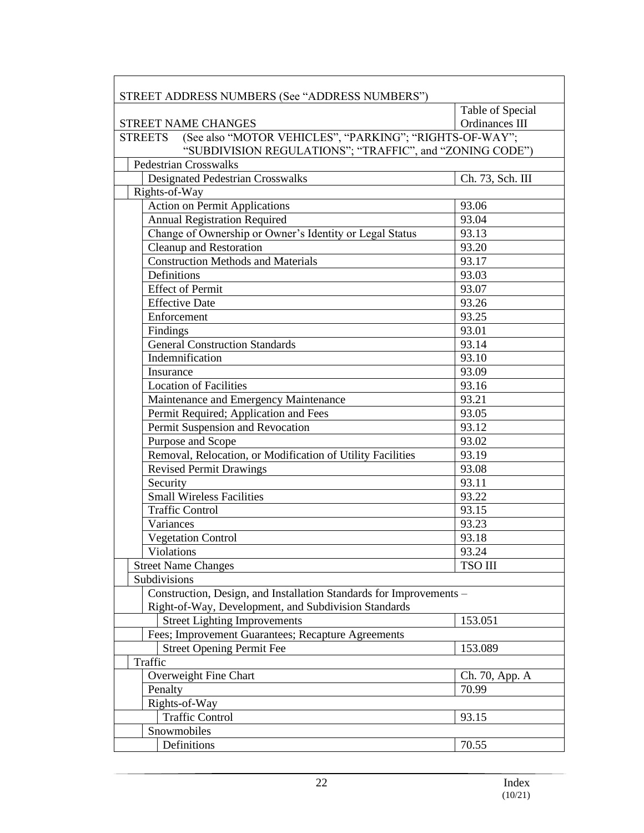| Table of Special<br>Ordinances III<br><b>STREET NAME CHANGES</b><br>(See also "MOTOR VEHICLES", "PARKING"; "RIGHTS-OF-WAY";<br><b>STREETS</b><br>"SUBDIVISION REGULATIONS"; "TRAFFIC", and "ZONING CODE")<br><b>Pedestrian Crosswalks</b><br><b>Designated Pedestrian Crosswalks</b><br>Ch. 73, Sch. III<br>Rights-of-Way<br><b>Action on Permit Applications</b><br>93.06<br><b>Annual Registration Required</b><br>93.04<br>Change of Ownership or Owner's Identity or Legal Status<br>93.13<br>Cleanup and Restoration<br>93.20<br><b>Construction Methods and Materials</b><br>93.17<br>Definitions<br>93.03<br><b>Effect of Permit</b><br>93.07<br><b>Effective Date</b><br>93.26<br>93.25<br>Enforcement<br>Findings<br>93.01<br><b>General Construction Standards</b><br>93.14<br>Indemnification<br>93.10<br>93.09<br>Insurance<br><b>Location of Facilities</b><br>93.16<br>Maintenance and Emergency Maintenance<br>93.21<br>Permit Required; Application and Fees<br>93.05<br>Permit Suspension and Revocation<br>93.12<br>Purpose and Scope<br>93.02<br>Removal, Relocation, or Modification of Utility Facilities<br>93.19<br><b>Revised Permit Drawings</b><br>93.08<br>Security<br>93.11<br><b>Small Wireless Facilities</b><br>93.22<br><b>Traffic Control</b><br>93.15<br>Variances<br>93.23<br><b>Vegetation Control</b><br>93.18<br>Violations<br>93.24<br><b>TSO III</b><br><b>Street Name Changes</b><br>Subdivisions<br>Construction, Design, and Installation Standards for Improvements -<br>Right-of-Way, Development, and Subdivision Standards<br><b>Street Lighting Improvements</b><br>153.051<br>Fees; Improvement Guarantees; Recapture Agreements<br><b>Street Opening Permit Fee</b><br>153.089<br>Traffic<br>Overweight Fine Chart<br>Ch. 70, App. A<br>70.99<br>Penalty<br>Rights-of-Way<br><b>Traffic Control</b><br>93.15<br>Snowmobiles | STREET ADDRESS NUMBERS (See "ADDRESS NUMBERS") |       |
|-------------------------------------------------------------------------------------------------------------------------------------------------------------------------------------------------------------------------------------------------------------------------------------------------------------------------------------------------------------------------------------------------------------------------------------------------------------------------------------------------------------------------------------------------------------------------------------------------------------------------------------------------------------------------------------------------------------------------------------------------------------------------------------------------------------------------------------------------------------------------------------------------------------------------------------------------------------------------------------------------------------------------------------------------------------------------------------------------------------------------------------------------------------------------------------------------------------------------------------------------------------------------------------------------------------------------------------------------------------------------------------------------------------------------------------------------------------------------------------------------------------------------------------------------------------------------------------------------------------------------------------------------------------------------------------------------------------------------------------------------------------------------------------------------------------------------------------------------------------------------------|------------------------------------------------|-------|
|                                                                                                                                                                                                                                                                                                                                                                                                                                                                                                                                                                                                                                                                                                                                                                                                                                                                                                                                                                                                                                                                                                                                                                                                                                                                                                                                                                                                                                                                                                                                                                                                                                                                                                                                                                                                                                                                               |                                                |       |
|                                                                                                                                                                                                                                                                                                                                                                                                                                                                                                                                                                                                                                                                                                                                                                                                                                                                                                                                                                                                                                                                                                                                                                                                                                                                                                                                                                                                                                                                                                                                                                                                                                                                                                                                                                                                                                                                               |                                                |       |
|                                                                                                                                                                                                                                                                                                                                                                                                                                                                                                                                                                                                                                                                                                                                                                                                                                                                                                                                                                                                                                                                                                                                                                                                                                                                                                                                                                                                                                                                                                                                                                                                                                                                                                                                                                                                                                                                               |                                                |       |
|                                                                                                                                                                                                                                                                                                                                                                                                                                                                                                                                                                                                                                                                                                                                                                                                                                                                                                                                                                                                                                                                                                                                                                                                                                                                                                                                                                                                                                                                                                                                                                                                                                                                                                                                                                                                                                                                               |                                                |       |
|                                                                                                                                                                                                                                                                                                                                                                                                                                                                                                                                                                                                                                                                                                                                                                                                                                                                                                                                                                                                                                                                                                                                                                                                                                                                                                                                                                                                                                                                                                                                                                                                                                                                                                                                                                                                                                                                               |                                                |       |
|                                                                                                                                                                                                                                                                                                                                                                                                                                                                                                                                                                                                                                                                                                                                                                                                                                                                                                                                                                                                                                                                                                                                                                                                                                                                                                                                                                                                                                                                                                                                                                                                                                                                                                                                                                                                                                                                               |                                                |       |
|                                                                                                                                                                                                                                                                                                                                                                                                                                                                                                                                                                                                                                                                                                                                                                                                                                                                                                                                                                                                                                                                                                                                                                                                                                                                                                                                                                                                                                                                                                                                                                                                                                                                                                                                                                                                                                                                               |                                                |       |
|                                                                                                                                                                                                                                                                                                                                                                                                                                                                                                                                                                                                                                                                                                                                                                                                                                                                                                                                                                                                                                                                                                                                                                                                                                                                                                                                                                                                                                                                                                                                                                                                                                                                                                                                                                                                                                                                               |                                                |       |
|                                                                                                                                                                                                                                                                                                                                                                                                                                                                                                                                                                                                                                                                                                                                                                                                                                                                                                                                                                                                                                                                                                                                                                                                                                                                                                                                                                                                                                                                                                                                                                                                                                                                                                                                                                                                                                                                               |                                                |       |
|                                                                                                                                                                                                                                                                                                                                                                                                                                                                                                                                                                                                                                                                                                                                                                                                                                                                                                                                                                                                                                                                                                                                                                                                                                                                                                                                                                                                                                                                                                                                                                                                                                                                                                                                                                                                                                                                               |                                                |       |
|                                                                                                                                                                                                                                                                                                                                                                                                                                                                                                                                                                                                                                                                                                                                                                                                                                                                                                                                                                                                                                                                                                                                                                                                                                                                                                                                                                                                                                                                                                                                                                                                                                                                                                                                                                                                                                                                               |                                                |       |
|                                                                                                                                                                                                                                                                                                                                                                                                                                                                                                                                                                                                                                                                                                                                                                                                                                                                                                                                                                                                                                                                                                                                                                                                                                                                                                                                                                                                                                                                                                                                                                                                                                                                                                                                                                                                                                                                               |                                                |       |
|                                                                                                                                                                                                                                                                                                                                                                                                                                                                                                                                                                                                                                                                                                                                                                                                                                                                                                                                                                                                                                                                                                                                                                                                                                                                                                                                                                                                                                                                                                                                                                                                                                                                                                                                                                                                                                                                               |                                                |       |
|                                                                                                                                                                                                                                                                                                                                                                                                                                                                                                                                                                                                                                                                                                                                                                                                                                                                                                                                                                                                                                                                                                                                                                                                                                                                                                                                                                                                                                                                                                                                                                                                                                                                                                                                                                                                                                                                               |                                                |       |
|                                                                                                                                                                                                                                                                                                                                                                                                                                                                                                                                                                                                                                                                                                                                                                                                                                                                                                                                                                                                                                                                                                                                                                                                                                                                                                                                                                                                                                                                                                                                                                                                                                                                                                                                                                                                                                                                               |                                                |       |
|                                                                                                                                                                                                                                                                                                                                                                                                                                                                                                                                                                                                                                                                                                                                                                                                                                                                                                                                                                                                                                                                                                                                                                                                                                                                                                                                                                                                                                                                                                                                                                                                                                                                                                                                                                                                                                                                               |                                                |       |
|                                                                                                                                                                                                                                                                                                                                                                                                                                                                                                                                                                                                                                                                                                                                                                                                                                                                                                                                                                                                                                                                                                                                                                                                                                                                                                                                                                                                                                                                                                                                                                                                                                                                                                                                                                                                                                                                               |                                                |       |
|                                                                                                                                                                                                                                                                                                                                                                                                                                                                                                                                                                                                                                                                                                                                                                                                                                                                                                                                                                                                                                                                                                                                                                                                                                                                                                                                                                                                                                                                                                                                                                                                                                                                                                                                                                                                                                                                               |                                                |       |
|                                                                                                                                                                                                                                                                                                                                                                                                                                                                                                                                                                                                                                                                                                                                                                                                                                                                                                                                                                                                                                                                                                                                                                                                                                                                                                                                                                                                                                                                                                                                                                                                                                                                                                                                                                                                                                                                               |                                                |       |
|                                                                                                                                                                                                                                                                                                                                                                                                                                                                                                                                                                                                                                                                                                                                                                                                                                                                                                                                                                                                                                                                                                                                                                                                                                                                                                                                                                                                                                                                                                                                                                                                                                                                                                                                                                                                                                                                               |                                                |       |
|                                                                                                                                                                                                                                                                                                                                                                                                                                                                                                                                                                                                                                                                                                                                                                                                                                                                                                                                                                                                                                                                                                                                                                                                                                                                                                                                                                                                                                                                                                                                                                                                                                                                                                                                                                                                                                                                               |                                                |       |
|                                                                                                                                                                                                                                                                                                                                                                                                                                                                                                                                                                                                                                                                                                                                                                                                                                                                                                                                                                                                                                                                                                                                                                                                                                                                                                                                                                                                                                                                                                                                                                                                                                                                                                                                                                                                                                                                               |                                                |       |
|                                                                                                                                                                                                                                                                                                                                                                                                                                                                                                                                                                                                                                                                                                                                                                                                                                                                                                                                                                                                                                                                                                                                                                                                                                                                                                                                                                                                                                                                                                                                                                                                                                                                                                                                                                                                                                                                               |                                                |       |
|                                                                                                                                                                                                                                                                                                                                                                                                                                                                                                                                                                                                                                                                                                                                                                                                                                                                                                                                                                                                                                                                                                                                                                                                                                                                                                                                                                                                                                                                                                                                                                                                                                                                                                                                                                                                                                                                               |                                                |       |
|                                                                                                                                                                                                                                                                                                                                                                                                                                                                                                                                                                                                                                                                                                                                                                                                                                                                                                                                                                                                                                                                                                                                                                                                                                                                                                                                                                                                                                                                                                                                                                                                                                                                                                                                                                                                                                                                               |                                                |       |
|                                                                                                                                                                                                                                                                                                                                                                                                                                                                                                                                                                                                                                                                                                                                                                                                                                                                                                                                                                                                                                                                                                                                                                                                                                                                                                                                                                                                                                                                                                                                                                                                                                                                                                                                                                                                                                                                               |                                                |       |
|                                                                                                                                                                                                                                                                                                                                                                                                                                                                                                                                                                                                                                                                                                                                                                                                                                                                                                                                                                                                                                                                                                                                                                                                                                                                                                                                                                                                                                                                                                                                                                                                                                                                                                                                                                                                                                                                               |                                                |       |
|                                                                                                                                                                                                                                                                                                                                                                                                                                                                                                                                                                                                                                                                                                                                                                                                                                                                                                                                                                                                                                                                                                                                                                                                                                                                                                                                                                                                                                                                                                                                                                                                                                                                                                                                                                                                                                                                               |                                                |       |
|                                                                                                                                                                                                                                                                                                                                                                                                                                                                                                                                                                                                                                                                                                                                                                                                                                                                                                                                                                                                                                                                                                                                                                                                                                                                                                                                                                                                                                                                                                                                                                                                                                                                                                                                                                                                                                                                               |                                                |       |
|                                                                                                                                                                                                                                                                                                                                                                                                                                                                                                                                                                                                                                                                                                                                                                                                                                                                                                                                                                                                                                                                                                                                                                                                                                                                                                                                                                                                                                                                                                                                                                                                                                                                                                                                                                                                                                                                               |                                                |       |
|                                                                                                                                                                                                                                                                                                                                                                                                                                                                                                                                                                                                                                                                                                                                                                                                                                                                                                                                                                                                                                                                                                                                                                                                                                                                                                                                                                                                                                                                                                                                                                                                                                                                                                                                                                                                                                                                               |                                                |       |
|                                                                                                                                                                                                                                                                                                                                                                                                                                                                                                                                                                                                                                                                                                                                                                                                                                                                                                                                                                                                                                                                                                                                                                                                                                                                                                                                                                                                                                                                                                                                                                                                                                                                                                                                                                                                                                                                               |                                                |       |
|                                                                                                                                                                                                                                                                                                                                                                                                                                                                                                                                                                                                                                                                                                                                                                                                                                                                                                                                                                                                                                                                                                                                                                                                                                                                                                                                                                                                                                                                                                                                                                                                                                                                                                                                                                                                                                                                               |                                                |       |
|                                                                                                                                                                                                                                                                                                                                                                                                                                                                                                                                                                                                                                                                                                                                                                                                                                                                                                                                                                                                                                                                                                                                                                                                                                                                                                                                                                                                                                                                                                                                                                                                                                                                                                                                                                                                                                                                               |                                                |       |
|                                                                                                                                                                                                                                                                                                                                                                                                                                                                                                                                                                                                                                                                                                                                                                                                                                                                                                                                                                                                                                                                                                                                                                                                                                                                                                                                                                                                                                                                                                                                                                                                                                                                                                                                                                                                                                                                               |                                                |       |
|                                                                                                                                                                                                                                                                                                                                                                                                                                                                                                                                                                                                                                                                                                                                                                                                                                                                                                                                                                                                                                                                                                                                                                                                                                                                                                                                                                                                                                                                                                                                                                                                                                                                                                                                                                                                                                                                               |                                                |       |
|                                                                                                                                                                                                                                                                                                                                                                                                                                                                                                                                                                                                                                                                                                                                                                                                                                                                                                                                                                                                                                                                                                                                                                                                                                                                                                                                                                                                                                                                                                                                                                                                                                                                                                                                                                                                                                                                               |                                                |       |
|                                                                                                                                                                                                                                                                                                                                                                                                                                                                                                                                                                                                                                                                                                                                                                                                                                                                                                                                                                                                                                                                                                                                                                                                                                                                                                                                                                                                                                                                                                                                                                                                                                                                                                                                                                                                                                                                               |                                                |       |
|                                                                                                                                                                                                                                                                                                                                                                                                                                                                                                                                                                                                                                                                                                                                                                                                                                                                                                                                                                                                                                                                                                                                                                                                                                                                                                                                                                                                                                                                                                                                                                                                                                                                                                                                                                                                                                                                               |                                                |       |
|                                                                                                                                                                                                                                                                                                                                                                                                                                                                                                                                                                                                                                                                                                                                                                                                                                                                                                                                                                                                                                                                                                                                                                                                                                                                                                                                                                                                                                                                                                                                                                                                                                                                                                                                                                                                                                                                               |                                                |       |
|                                                                                                                                                                                                                                                                                                                                                                                                                                                                                                                                                                                                                                                                                                                                                                                                                                                                                                                                                                                                                                                                                                                                                                                                                                                                                                                                                                                                                                                                                                                                                                                                                                                                                                                                                                                                                                                                               |                                                |       |
|                                                                                                                                                                                                                                                                                                                                                                                                                                                                                                                                                                                                                                                                                                                                                                                                                                                                                                                                                                                                                                                                                                                                                                                                                                                                                                                                                                                                                                                                                                                                                                                                                                                                                                                                                                                                                                                                               |                                                |       |
|                                                                                                                                                                                                                                                                                                                                                                                                                                                                                                                                                                                                                                                                                                                                                                                                                                                                                                                                                                                                                                                                                                                                                                                                                                                                                                                                                                                                                                                                                                                                                                                                                                                                                                                                                                                                                                                                               |                                                |       |
|                                                                                                                                                                                                                                                                                                                                                                                                                                                                                                                                                                                                                                                                                                                                                                                                                                                                                                                                                                                                                                                                                                                                                                                                                                                                                                                                                                                                                                                                                                                                                                                                                                                                                                                                                                                                                                                                               |                                                |       |
|                                                                                                                                                                                                                                                                                                                                                                                                                                                                                                                                                                                                                                                                                                                                                                                                                                                                                                                                                                                                                                                                                                                                                                                                                                                                                                                                                                                                                                                                                                                                                                                                                                                                                                                                                                                                                                                                               |                                                |       |
|                                                                                                                                                                                                                                                                                                                                                                                                                                                                                                                                                                                                                                                                                                                                                                                                                                                                                                                                                                                                                                                                                                                                                                                                                                                                                                                                                                                                                                                                                                                                                                                                                                                                                                                                                                                                                                                                               |                                                |       |
|                                                                                                                                                                                                                                                                                                                                                                                                                                                                                                                                                                                                                                                                                                                                                                                                                                                                                                                                                                                                                                                                                                                                                                                                                                                                                                                                                                                                                                                                                                                                                                                                                                                                                                                                                                                                                                                                               | Definitions                                    | 70.55 |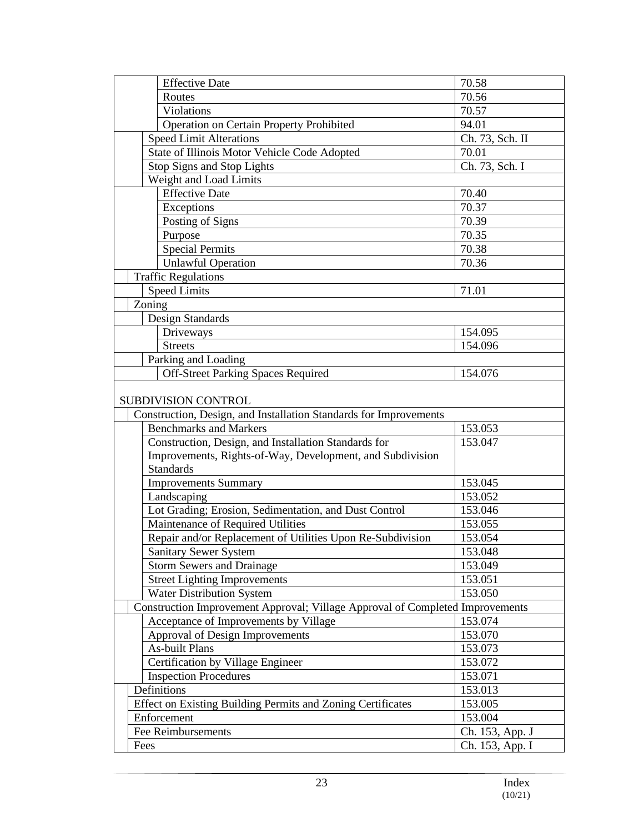| <b>Effective Date</b>                                       |                                                                               | 70.58           |
|-------------------------------------------------------------|-------------------------------------------------------------------------------|-----------------|
| Routes                                                      |                                                                               | 70.56           |
| Violations                                                  |                                                                               | 70.57           |
| Operation on Certain Property Prohibited                    |                                                                               | 94.01           |
| <b>Speed Limit Alterations</b>                              |                                                                               | Ch. 73, Sch. II |
| State of Illinois Motor Vehicle Code Adopted                |                                                                               | 70.01           |
| Stop Signs and Stop Lights                                  |                                                                               | Ch. 73, Sch. I  |
| Weight and Load Limits                                      |                                                                               |                 |
| <b>Effective Date</b>                                       |                                                                               | 70.40           |
| Exceptions                                                  |                                                                               | 70.37           |
| Posting of Signs                                            |                                                                               | 70.39           |
| Purpose                                                     |                                                                               | 70.35           |
| <b>Special Permits</b>                                      |                                                                               | 70.38           |
| <b>Unlawful Operation</b>                                   |                                                                               | 70.36           |
| <b>Traffic Regulations</b>                                  |                                                                               |                 |
| <b>Speed Limits</b>                                         |                                                                               | 71.01           |
| Zoning                                                      |                                                                               |                 |
| Design Standards                                            |                                                                               |                 |
| Driveways                                                   |                                                                               | 154.095         |
| <b>Streets</b>                                              |                                                                               | 154.096         |
| Parking and Loading                                         |                                                                               |                 |
| <b>Off-Street Parking Spaces Required</b>                   |                                                                               | 154.076         |
|                                                             |                                                                               |                 |
| SUBDIVISION CONTROL                                         |                                                                               |                 |
|                                                             | Construction, Design, and Installation Standards for Improvements             |                 |
| <b>Benchmarks and Markers</b>                               |                                                                               | 153.053         |
| Construction, Design, and Installation Standards for        |                                                                               | 153.047         |
|                                                             | Improvements, Rights-of-Way, Development, and Subdivision                     |                 |
| <b>Standards</b>                                            |                                                                               |                 |
| <b>Improvements Summary</b>                                 |                                                                               | 153.045         |
| Landscaping                                                 |                                                                               | 153.052         |
| Lot Grading; Erosion, Sedimentation, and Dust Control       |                                                                               | 153.046         |
| Maintenance of Required Utilities                           |                                                                               | 153.055         |
|                                                             | Repair and/or Replacement of Utilities Upon Re-Subdivision                    | 153.054         |
| <b>Sanitary Sewer System</b>                                |                                                                               | 153.048         |
| <b>Storm Sewers and Drainage</b>                            |                                                                               | 153.049         |
| <b>Street Lighting Improvements</b>                         |                                                                               | 153.051         |
| <b>Water Distribution System</b>                            |                                                                               | 153.050         |
|                                                             | Construction Improvement Approval; Village Approval of Completed Improvements |                 |
| Acceptance of Improvements by Village                       |                                                                               | 153.074         |
| Approval of Design Improvements                             |                                                                               | 153.070         |
| As-built Plans                                              |                                                                               | 153.073         |
| Certification by Village Engineer                           |                                                                               | 153.072         |
| <b>Inspection Procedures</b>                                |                                                                               | 153.071         |
| Definitions                                                 |                                                                               | 153.013         |
| Effect on Existing Building Permits and Zoning Certificates |                                                                               | 153.005         |
| Enforcement                                                 |                                                                               | 153.004         |
| Fee Reimbursements                                          |                                                                               | Ch. 153, App. J |
| Fees                                                        |                                                                               | Ch. 153, App. I |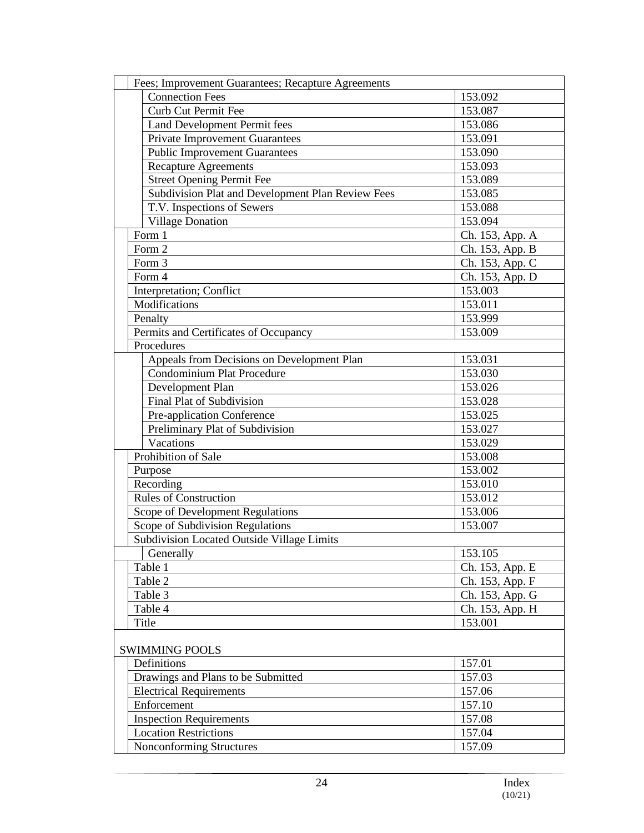| Fees; Improvement Guarantees; Recapture Agreements |                 |  |  |
|----------------------------------------------------|-----------------|--|--|
| <b>Connection Fees</b>                             | 153.092         |  |  |
| Curb Cut Permit Fee                                | 153.087         |  |  |
| Land Development Permit fees                       | 153.086         |  |  |
| <b>Private Improvement Guarantees</b>              | 153.091         |  |  |
| <b>Public Improvement Guarantees</b>               | 153.090         |  |  |
| <b>Recapture Agreements</b>                        | 153.093         |  |  |
| <b>Street Opening Permit Fee</b>                   | 153.089         |  |  |
| Subdivision Plat and Development Plan Review Fees  | 153.085         |  |  |
| T.V. Inspections of Sewers                         | 153.088         |  |  |
| <b>Village Donation</b>                            | 153.094         |  |  |
| Form 1                                             | Ch. 153, App. A |  |  |
| Form 2                                             | Ch. 153, App. B |  |  |
| Form 3                                             | Ch. 153, App. C |  |  |
| Form 4                                             | Ch. 153, App. D |  |  |
| Interpretation; Conflict                           | 153.003         |  |  |
| Modifications                                      | 153.011         |  |  |
| Penalty                                            | 153.999         |  |  |
| Permits and Certificates of Occupancy              | 153.009         |  |  |
| Procedures                                         |                 |  |  |
| Appeals from Decisions on Development Plan         | 153.031         |  |  |
| Condominium Plat Procedure                         | 153.030         |  |  |
| Development Plan                                   | 153.026         |  |  |
| Final Plat of Subdivision                          | 153.028         |  |  |
| Pre-application Conference                         | 153.025         |  |  |
| Preliminary Plat of Subdivision                    | 153.027         |  |  |
| Vacations                                          | 153.029         |  |  |
| Prohibition of Sale                                | 153.008         |  |  |
| Purpose                                            | 153.002         |  |  |
| Recording                                          | 153.010         |  |  |
| <b>Rules of Construction</b>                       | 153.012         |  |  |
| Scope of Development Regulations                   | 153.006         |  |  |
| Scope of Subdivision Regulations                   | 153.007         |  |  |
| Subdivision Located Outside Village Limits         |                 |  |  |
| Generally                                          | 153.105         |  |  |
| Table 1                                            | Ch. 153, App. E |  |  |
| Table 2                                            | Ch. 153, App. F |  |  |
| Table 3                                            | Ch. 153, App. G |  |  |
| Table 4                                            | Ch. 153, App. H |  |  |
| Title                                              | 153.001         |  |  |
|                                                    |                 |  |  |
| <b>SWIMMING POOLS</b>                              |                 |  |  |
| Definitions                                        | 157.01          |  |  |
| Drawings and Plans to be Submitted                 | 157.03          |  |  |
| <b>Electrical Requirements</b>                     | 157.06          |  |  |
| Enforcement                                        | 157.10          |  |  |
| <b>Inspection Requirements</b>                     | 157.08          |  |  |
| <b>Location Restrictions</b>                       | 157.04          |  |  |
| <b>Nonconforming Structures</b>                    | 157.09          |  |  |
|                                                    |                 |  |  |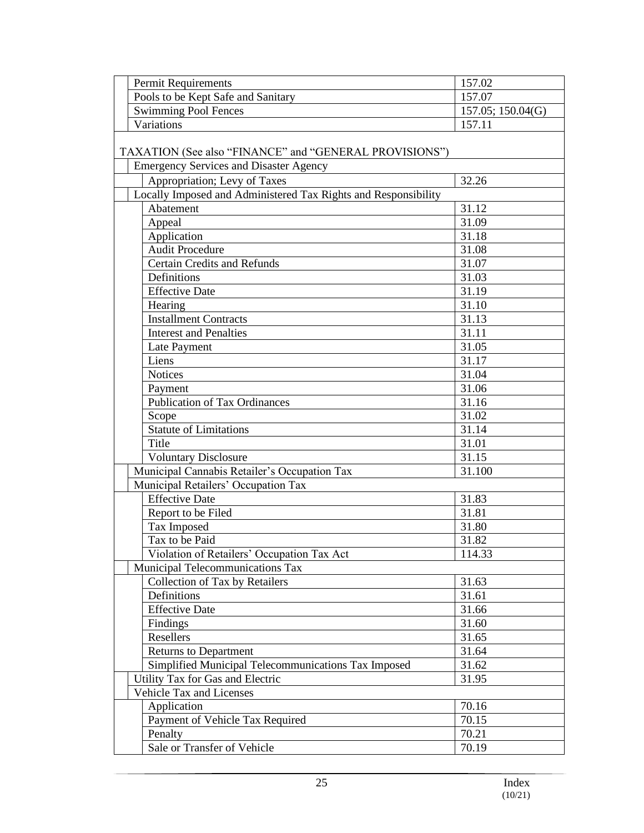| Pools to be Kept Safe and Sanitary<br>157.07<br><b>Swimming Pool Fences</b><br>157.05; 150.04(G)<br>157.11<br>Variations<br>TAXATION (See also "FINANCE" and "GENERAL PROVISIONS")<br><b>Emergency Services and Disaster Agency</b><br>Appropriation; Levy of Taxes<br>32.26<br>Locally Imposed and Administered Tax Rights and Responsibility<br>Abatement<br>31.12<br>Appeal<br>31.09 |
|-----------------------------------------------------------------------------------------------------------------------------------------------------------------------------------------------------------------------------------------------------------------------------------------------------------------------------------------------------------------------------------------|
|                                                                                                                                                                                                                                                                                                                                                                                         |
|                                                                                                                                                                                                                                                                                                                                                                                         |
|                                                                                                                                                                                                                                                                                                                                                                                         |
|                                                                                                                                                                                                                                                                                                                                                                                         |
|                                                                                                                                                                                                                                                                                                                                                                                         |
|                                                                                                                                                                                                                                                                                                                                                                                         |
|                                                                                                                                                                                                                                                                                                                                                                                         |
|                                                                                                                                                                                                                                                                                                                                                                                         |
|                                                                                                                                                                                                                                                                                                                                                                                         |
|                                                                                                                                                                                                                                                                                                                                                                                         |
| Application<br>31.18                                                                                                                                                                                                                                                                                                                                                                    |
| <b>Audit Procedure</b><br>31.08                                                                                                                                                                                                                                                                                                                                                         |
| <b>Certain Credits and Refunds</b><br>31.07                                                                                                                                                                                                                                                                                                                                             |
| Definitions<br>31.03                                                                                                                                                                                                                                                                                                                                                                    |
| <b>Effective Date</b><br>31.19                                                                                                                                                                                                                                                                                                                                                          |
| Hearing<br>31.10                                                                                                                                                                                                                                                                                                                                                                        |
| 31.13<br><b>Installment Contracts</b>                                                                                                                                                                                                                                                                                                                                                   |
| 31.11<br><b>Interest and Penalties</b>                                                                                                                                                                                                                                                                                                                                                  |
| 31.05<br>Late Payment                                                                                                                                                                                                                                                                                                                                                                   |
| Liens<br>31.17                                                                                                                                                                                                                                                                                                                                                                          |
| <b>Notices</b><br>31.04                                                                                                                                                                                                                                                                                                                                                                 |
| 31.06<br>Payment                                                                                                                                                                                                                                                                                                                                                                        |
| <b>Publication of Tax Ordinances</b><br>31.16                                                                                                                                                                                                                                                                                                                                           |
| 31.02<br>Scope                                                                                                                                                                                                                                                                                                                                                                          |
| <b>Statute of Limitations</b><br>31.14                                                                                                                                                                                                                                                                                                                                                  |
| Title<br>31.01                                                                                                                                                                                                                                                                                                                                                                          |
| 31.15<br><b>Voluntary Disclosure</b>                                                                                                                                                                                                                                                                                                                                                    |
| Municipal Cannabis Retailer's Occupation Tax<br>31.100                                                                                                                                                                                                                                                                                                                                  |
| Municipal Retailers' Occupation Tax                                                                                                                                                                                                                                                                                                                                                     |
| <b>Effective Date</b><br>31.83                                                                                                                                                                                                                                                                                                                                                          |
| Report to be Filed<br>31.81                                                                                                                                                                                                                                                                                                                                                             |
| Tax Imposed<br>31.80                                                                                                                                                                                                                                                                                                                                                                    |
| Tax to be Paid<br>31.82                                                                                                                                                                                                                                                                                                                                                                 |
| Violation of Retailers' Occupation Tax Act<br>114.33                                                                                                                                                                                                                                                                                                                                    |
| Municipal Telecommunications Tax                                                                                                                                                                                                                                                                                                                                                        |
| Collection of Tax by Retailers<br>31.63                                                                                                                                                                                                                                                                                                                                                 |
| Definitions<br>31.61                                                                                                                                                                                                                                                                                                                                                                    |
| <b>Effective Date</b><br>31.66                                                                                                                                                                                                                                                                                                                                                          |
| Findings<br>31.60                                                                                                                                                                                                                                                                                                                                                                       |
| Resellers<br>31.65                                                                                                                                                                                                                                                                                                                                                                      |
| <b>Returns to Department</b><br>31.64                                                                                                                                                                                                                                                                                                                                                   |
| Simplified Municipal Telecommunications Tax Imposed<br>31.62                                                                                                                                                                                                                                                                                                                            |
| Utility Tax for Gas and Electric<br>31.95                                                                                                                                                                                                                                                                                                                                               |
| Vehicle Tax and Licenses                                                                                                                                                                                                                                                                                                                                                                |
| Application<br>70.16                                                                                                                                                                                                                                                                                                                                                                    |
| Payment of Vehicle Tax Required<br>70.15                                                                                                                                                                                                                                                                                                                                                |
| Penalty<br>70.21                                                                                                                                                                                                                                                                                                                                                                        |
| Sale or Transfer of Vehicle<br>70.19                                                                                                                                                                                                                                                                                                                                                    |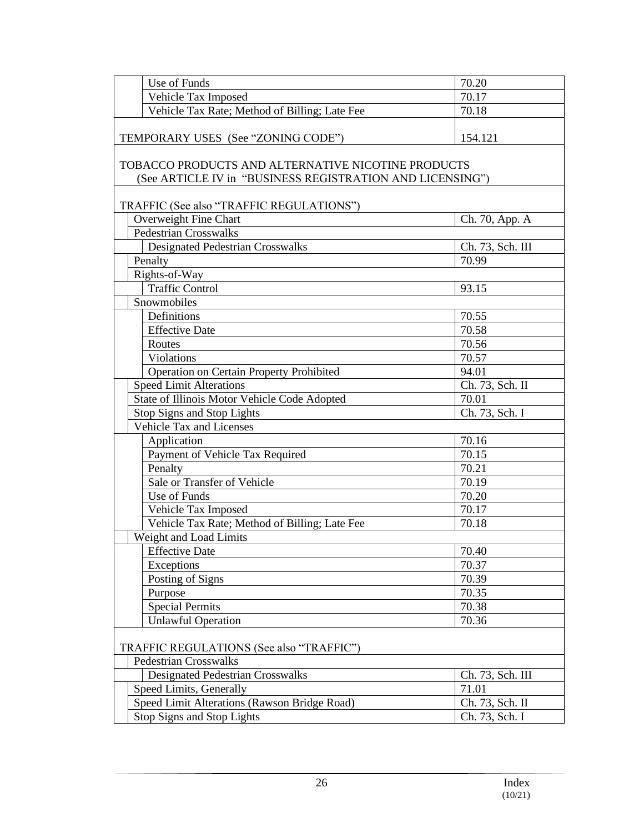| Use of Funds                                                                                                    | 70.20            |  |  |
|-----------------------------------------------------------------------------------------------------------------|------------------|--|--|
| Vehicle Tax Imposed                                                                                             | 70.17            |  |  |
| Vehicle Tax Rate; Method of Billing; Late Fee                                                                   | 70.18            |  |  |
| TEMPORARY USES (See "ZONING CODE")                                                                              | 154.121          |  |  |
|                                                                                                                 |                  |  |  |
| TOBACCO PRODUCTS AND ALTERNATIVE NICOTINE PRODUCTS<br>(See ARTICLE IV in "BUSINESS REGISTRATION AND LICENSING") |                  |  |  |
| TRAFFIC (See also "TRAFFIC REGULATIONS")                                                                        |                  |  |  |
| Overweight Fine Chart                                                                                           | Ch. 70, App. A   |  |  |
| <b>Pedestrian Crosswalks</b>                                                                                    |                  |  |  |
| <b>Designated Pedestrian Crosswalks</b>                                                                         | Ch. 73, Sch. III |  |  |
| Penalty                                                                                                         | 70.99            |  |  |
| Rights-of-Way                                                                                                   |                  |  |  |
| <b>Traffic Control</b>                                                                                          | 93.15            |  |  |
| Snowmobiles                                                                                                     |                  |  |  |
| Definitions                                                                                                     | 70.55            |  |  |
| <b>Effective Date</b>                                                                                           | 70.58            |  |  |
| Routes                                                                                                          | 70.56            |  |  |
| Violations                                                                                                      | 70.57            |  |  |
| Operation on Certain Property Prohibited                                                                        | 94.01            |  |  |
| <b>Speed Limit Alterations</b>                                                                                  | Ch. 73, Sch. II  |  |  |
| State of Illinois Motor Vehicle Code Adopted                                                                    | 70.01            |  |  |
| Stop Signs and Stop Lights                                                                                      | Ch. 73, Sch. I   |  |  |
| <b>Vehicle Tax and Licenses</b>                                                                                 |                  |  |  |
| Application                                                                                                     | 70.16            |  |  |
| Payment of Vehicle Tax Required                                                                                 | 70.15            |  |  |
| Penalty                                                                                                         | 70.21            |  |  |
| Sale or Transfer of Vehicle                                                                                     | 70.19            |  |  |
| Use of Funds                                                                                                    | 70.20            |  |  |
| Vehicle Tax Imposed                                                                                             | 70.17            |  |  |
| Vehicle Tax Rate; Method of Billing; Late Fee                                                                   | 70.18            |  |  |
| Weight and Load Limits                                                                                          |                  |  |  |
| <b>Effective Date</b>                                                                                           | 70.40            |  |  |
| Exceptions                                                                                                      | 70.37            |  |  |
| Posting of Signs                                                                                                | 70.39            |  |  |
| Purpose                                                                                                         | 70.35            |  |  |
| <b>Special Permits</b>                                                                                          | 70.38            |  |  |
| <b>Unlawful Operation</b>                                                                                       | 70.36            |  |  |
| TRAFFIC REGULATIONS (See also "TRAFFIC")                                                                        |                  |  |  |
| <b>Pedestrian Crosswalks</b>                                                                                    |                  |  |  |
| <b>Designated Pedestrian Crosswalks</b>                                                                         | Ch. 73, Sch. III |  |  |
| Speed Limits, Generally                                                                                         | 71.01            |  |  |
| Speed Limit Alterations (Rawson Bridge Road)                                                                    | Ch. 73, Sch. II  |  |  |
| <b>Stop Signs and Stop Lights</b>                                                                               | Ch. 73, Sch. I   |  |  |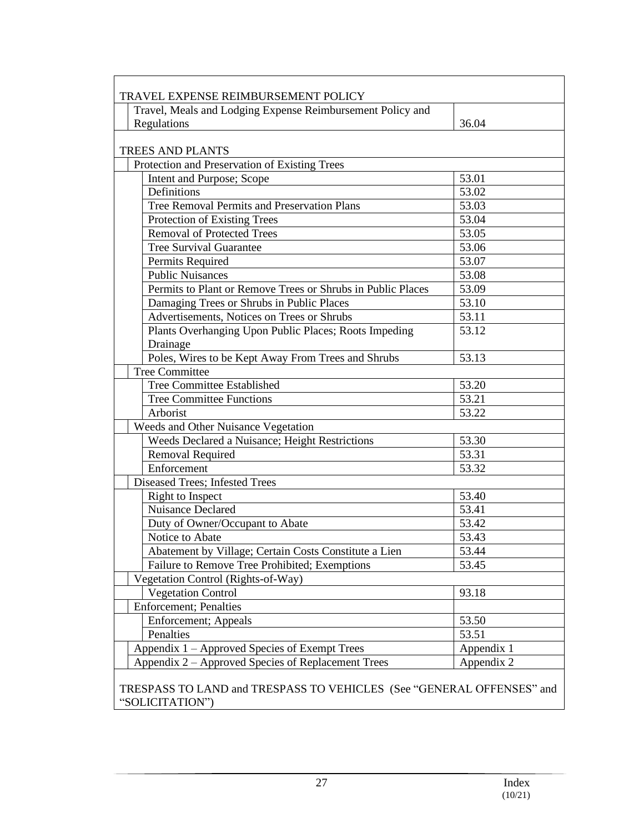| Travel, Meals and Lodging Expense Reimbursement Policy and  |            |
|-------------------------------------------------------------|------------|
| Regulations                                                 | 36.04      |
| <b>TREES AND PLANTS</b>                                     |            |
| Protection and Preservation of Existing Trees               |            |
| Intent and Purpose; Scope                                   | 53.01      |
| Definitions                                                 | 53.02      |
| <b>Tree Removal Permits and Preservation Plans</b>          | 53.03      |
| Protection of Existing Trees                                | 53.04      |
| <b>Removal of Protected Trees</b>                           | 53.05      |
| <b>Tree Survival Guarantee</b>                              | 53.06      |
| Permits Required                                            | 53.07      |
| <b>Public Nuisances</b>                                     | 53.08      |
| Permits to Plant or Remove Trees or Shrubs in Public Places | 53.09      |
| Damaging Trees or Shrubs in Public Places                   | 53.10      |
| Advertisements, Notices on Trees or Shrubs                  | 53.11      |
| Plants Overhanging Upon Public Places; Roots Impeding       | 53.12      |
| Drainage                                                    |            |
| Poles, Wires to be Kept Away From Trees and Shrubs          | 53.13      |
| <b>Tree Committee</b>                                       |            |
| Tree Committee Established                                  | 53.20      |
| <b>Tree Committee Functions</b>                             | 53.21      |
| Arborist                                                    | 53.22      |
| Weeds and Other Nuisance Vegetation                         |            |
| Weeds Declared a Nuisance; Height Restrictions              | 53.30      |
| Removal Required                                            | 53.31      |
| Enforcement                                                 | 53.32      |
| <b>Diseased Trees; Infested Trees</b>                       |            |
| Right to Inspect                                            | 53.40      |
| Nuisance Declared                                           | 53.41      |
| Duty of Owner/Occupant to Abate                             | 53.42      |
| Notice to Abate                                             | 53.43      |
| Abatement by Village; Certain Costs Constitute a Lien       | 53.44      |
| Failure to Remove Tree Prohibited; Exemptions               | 53.45      |
| Vegetation Control (Rights-of-Way)                          |            |
| <b>Vegetation Control</b>                                   | 93.18      |
| <b>Enforcement</b> ; Penalties                              |            |
| Enforcement; Appeals                                        | 53.50      |
| Penalties                                                   | 53.51      |
| Appendix 1 – Approved Species of Exempt Trees               | Appendix 1 |
| Appendix 2 - Approved Species of Replacement Trees          | Appendix 2 |

"SOLICITATION")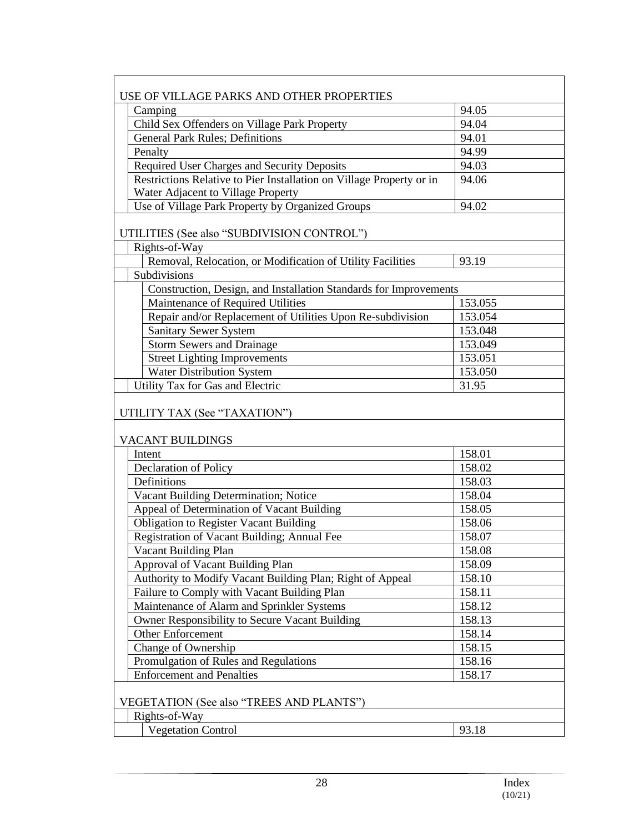| USE OF VILLAGE PARKS AND OTHER PROPERTIES                            |         |  |  |
|----------------------------------------------------------------------|---------|--|--|
| Camping                                                              | 94.05   |  |  |
| Child Sex Offenders on Village Park Property                         | 94.04   |  |  |
| <b>General Park Rules; Definitions</b>                               | 94.01   |  |  |
| Penalty                                                              | 94.99   |  |  |
| Required User Charges and Security Deposits                          | 94.03   |  |  |
| Restrictions Relative to Pier Installation on Village Property or in | 94.06   |  |  |
| Water Adjacent to Village Property                                   |         |  |  |
| Use of Village Park Property by Organized Groups                     | 94.02   |  |  |
|                                                                      |         |  |  |
| UTILITIES (See also "SUBDIVISION CONTROL")                           |         |  |  |
| Rights-of-Way                                                        |         |  |  |
| Removal, Relocation, or Modification of Utility Facilities           | 93.19   |  |  |
| Subdivisions                                                         |         |  |  |
| Construction, Design, and Installation Standards for Improvements    |         |  |  |
| Maintenance of Required Utilities                                    | 153.055 |  |  |
| Repair and/or Replacement of Utilities Upon Re-subdivision           | 153.054 |  |  |
| <b>Sanitary Sewer System</b>                                         | 153.048 |  |  |
| <b>Storm Sewers and Drainage</b>                                     | 153.049 |  |  |
| <b>Street Lighting Improvements</b>                                  | 153.051 |  |  |
| <b>Water Distribution System</b>                                     | 153.050 |  |  |
| Utility Tax for Gas and Electric                                     | 31.95   |  |  |
|                                                                      |         |  |  |
| UTILITY TAX (See "TAXATION")<br>VACANT BUILDINGS                     |         |  |  |
| Intent                                                               | 158.01  |  |  |
| Declaration of Policy                                                | 158.02  |  |  |
| Definitions                                                          | 158.03  |  |  |
| Vacant Building Determination; Notice                                | 158.04  |  |  |
| Appeal of Determination of Vacant Building                           | 158.05  |  |  |
| <b>Obligation to Register Vacant Building</b>                        | 158.06  |  |  |
| Registration of Vacant Building; Annual Fee                          | 158.07  |  |  |
| Vacant Building Plan                                                 | 158.08  |  |  |
| Approval of Vacant Building Plan                                     | 158.09  |  |  |
| Authority to Modify Vacant Building Plan; Right of Appeal            | 158.10  |  |  |
| Failure to Comply with Vacant Building Plan                          | 158.11  |  |  |
| Maintenance of Alarm and Sprinkler Systems                           | 158.12  |  |  |
| Owner Responsibility to Secure Vacant Building                       | 158.13  |  |  |
| Other Enforcement                                                    | 158.14  |  |  |
| Change of Ownership                                                  | 158.15  |  |  |
| Promulgation of Rules and Regulations                                | 158.16  |  |  |
| <b>Enforcement and Penalties</b>                                     | 158.17  |  |  |
| VEGETATION (See also "TREES AND PLANTS")                             |         |  |  |
| Rights-of-Way                                                        |         |  |  |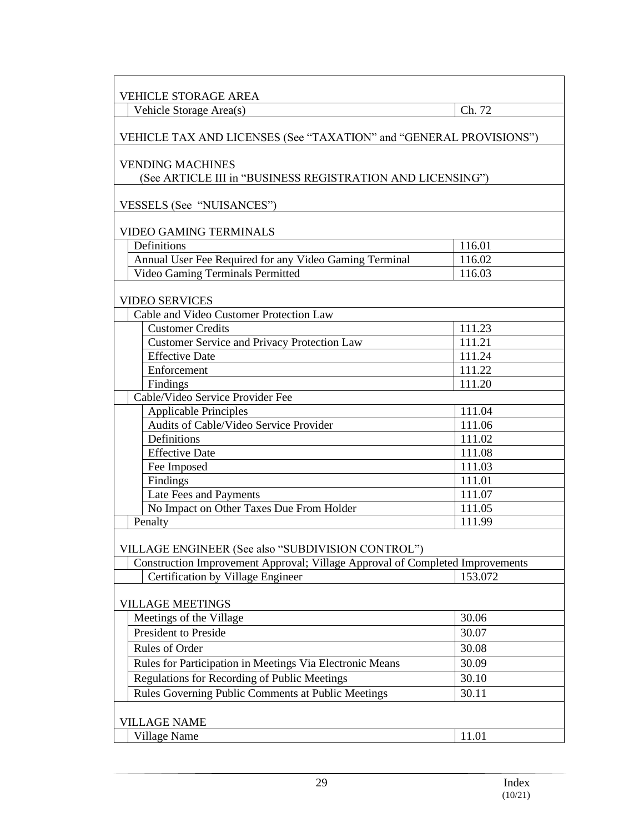| VEHICLE STORAGE AREA                                                                  |                  |  |
|---------------------------------------------------------------------------------------|------------------|--|
| Vehicle Storage Area(s)                                                               | Ch. 72           |  |
| VEHICLE TAX AND LICENSES (See "TAXATION" and "GENERAL PROVISIONS")                    |                  |  |
| <b>VENDING MACHINES</b><br>(See ARTICLE III in "BUSINESS REGISTRATION AND LICENSING") |                  |  |
| VESSELS (See "NUISANCES")                                                             |                  |  |
| <b>VIDEO GAMING TERMINALS</b>                                                         |                  |  |
| Definitions                                                                           | 116.01           |  |
| Annual User Fee Required for any Video Gaming Terminal                                | 116.02           |  |
| Video Gaming Terminals Permitted                                                      | 116.03           |  |
| <b>VIDEO SERVICES</b>                                                                 |                  |  |
| Cable and Video Customer Protection Law                                               |                  |  |
| <b>Customer Credits</b>                                                               | 111.23           |  |
| <b>Customer Service and Privacy Protection Law</b>                                    | 111.21           |  |
| <b>Effective Date</b>                                                                 | 111.24           |  |
| Enforcement                                                                           | 111.22           |  |
| Findings                                                                              | 111.20           |  |
| Cable/Video Service Provider Fee                                                      |                  |  |
| <b>Applicable Principles</b>                                                          | 111.04           |  |
| Audits of Cable/Video Service Provider                                                | 111.06           |  |
| Definitions                                                                           | 111.02           |  |
| <b>Effective Date</b><br>Fee Imposed                                                  | 111.08<br>111.03 |  |
| Findings                                                                              | 111.01           |  |
| Late Fees and Payments                                                                | 111.07           |  |
| No Impact on Other Taxes Due From Holder                                              | 111.05           |  |
| Penalty                                                                               | 111.99           |  |
| VILLAGE ENGINEER (See also "SUBDIVISION CONTROL")                                     |                  |  |
| Construction Improvement Approval; Village Approval of Completed Improvements         |                  |  |
| Certification by Village Engineer                                                     | 153.072          |  |
| <b>VILLAGE MEETINGS</b>                                                               |                  |  |
| Meetings of the Village                                                               | 30.06            |  |
| President to Preside                                                                  | 30.07            |  |
| Rules of Order                                                                        | 30.08            |  |
| Rules for Participation in Meetings Via Electronic Means                              | 30.09            |  |
| Regulations for Recording of Public Meetings                                          | 30.10            |  |
| Rules Governing Public Comments at Public Meetings                                    | 30.11            |  |
|                                                                                       |                  |  |
| <b>VILLAGE NAME</b>                                                                   |                  |  |
| Village Name                                                                          | 11.01            |  |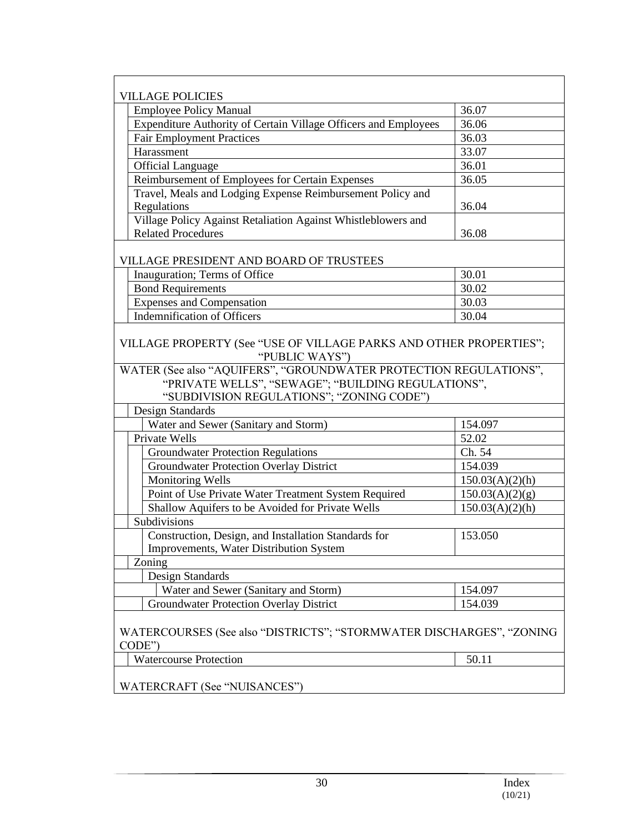| <b>VILLAGE POLICIES</b>                                                                                                                                              |                 |  |
|----------------------------------------------------------------------------------------------------------------------------------------------------------------------|-----------------|--|
| <b>Employee Policy Manual</b>                                                                                                                                        | 36.07           |  |
| Expenditure Authority of Certain Village Officers and Employees                                                                                                      | 36.06           |  |
| <b>Fair Employment Practices</b>                                                                                                                                     | 36.03           |  |
| Harassment                                                                                                                                                           | 33.07           |  |
| <b>Official Language</b>                                                                                                                                             | 36.01           |  |
| Reimbursement of Employees for Certain Expenses                                                                                                                      | 36.05           |  |
| Travel, Meals and Lodging Expense Reimbursement Policy and                                                                                                           |                 |  |
| Regulations                                                                                                                                                          | 36.04           |  |
| Village Policy Against Retaliation Against Whistleblowers and                                                                                                        |                 |  |
| <b>Related Procedures</b>                                                                                                                                            | 36.08           |  |
|                                                                                                                                                                      |                 |  |
| VILLAGE PRESIDENT AND BOARD OF TRUSTEES                                                                                                                              |                 |  |
| Inauguration; Terms of Office                                                                                                                                        | 30.01           |  |
| <b>Bond Requirements</b>                                                                                                                                             | 30.02           |  |
| <b>Expenses and Compensation</b>                                                                                                                                     | 30.03           |  |
| <b>Indemnification of Officers</b>                                                                                                                                   | 30.04           |  |
| VILLAGE PROPERTY (See "USE OF VILLAGE PARKS AND OTHER PROPERTIES";<br>"PUBLIC WAYS")                                                                                 |                 |  |
| WATER (See also "AQUIFERS", "GROUNDWATER PROTECTION REGULATIONS",<br>"PRIVATE WELLS", "SEWAGE"; "BUILDING REGULATIONS",<br>"SUBDIVISION REGULATIONS"; "ZONING CODE") |                 |  |
| Design Standards                                                                                                                                                     |                 |  |
| Water and Sewer (Sanitary and Storm)                                                                                                                                 | 154.097         |  |
| <b>Private Wells</b>                                                                                                                                                 | 52.02           |  |
| <b>Groundwater Protection Regulations</b>                                                                                                                            | Ch. 54          |  |
| <b>Groundwater Protection Overlay District</b>                                                                                                                       | 154.039         |  |
| Monitoring Wells                                                                                                                                                     | 150.03(A)(2)(h) |  |
| Point of Use Private Water Treatment System Required                                                                                                                 | 150.03(A)(2)(g) |  |
| Shallow Aquifers to be Avoided for Private Wells                                                                                                                     | 150.03(A)(2)(h) |  |
| Subdivisions                                                                                                                                                         |                 |  |
| Construction, Design, and Installation Standards for                                                                                                                 | 153.050         |  |
| Improvements, Water Distribution System                                                                                                                              |                 |  |
| Zoning                                                                                                                                                               |                 |  |
| Design Standards                                                                                                                                                     |                 |  |
| Water and Sewer (Sanitary and Storm)                                                                                                                                 | 154.097         |  |
| <b>Groundwater Protection Overlay District</b>                                                                                                                       | 154.039         |  |
| WATERCOURSES (See also "DISTRICTS"; "STORMWATER DISCHARGES", "ZONING<br>CODE")                                                                                       |                 |  |
| <b>Watercourse Protection</b>                                                                                                                                        | 50.11           |  |
| WATERCRAFT (See "NUISANCES")                                                                                                                                         |                 |  |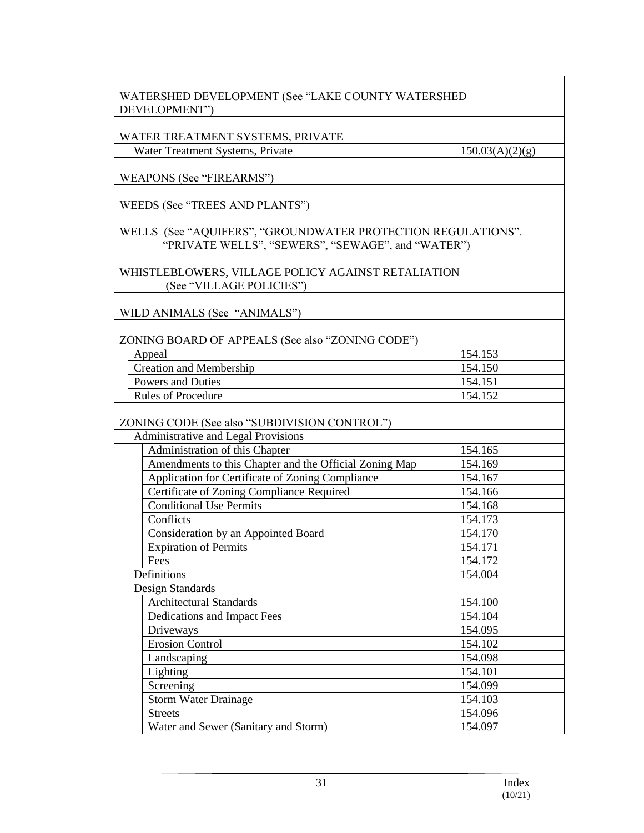|               | WATERSHED DEVELOPMENT (See "LAKE COUNTY WATERSHED |
|---------------|---------------------------------------------------|
| DEVELOPMENT") |                                                   |

#### WATER TREATMENT SYSTEMS, PRIVATE

Water Treatment Systems, Private  $150.03(A)(2)(g)$ 

WEAPONS (See "FIREARMS")

WEEDS (See "TREES AND PLANTS")

WELLS (See "AQUIFERS", "GROUNDWATER PROTECTION REGULATIONS". "PRIVATE WELLS", "SEWERS", "SEWAGE", and "WATER")

WHISTLEBLOWERS, VILLAGE POLICY AGAINST RETALIATION (See "VILLAGE POLICIES")

WILD ANIMALS (See "ANIMALS")

ZONING BOARD OF APPEALS (See also "ZONING CODE")

| Appeal                         | 154.153 |
|--------------------------------|---------|
| <b>Creation and Membership</b> | 154.150 |
| Powers and Duties              | 154.151 |
| <b>Rules of Procedure</b>      | 154.    |

ZONING CODE (See also "SUBDIVISION CONTROL")

| Administrative and Legal Provisions                    |         |
|--------------------------------------------------------|---------|
| Administration of this Chapter                         | 154.165 |
| Amendments to this Chapter and the Official Zoning Map | 154.169 |
| Application for Certificate of Zoning Compliance       | 154.167 |
| Certificate of Zoning Compliance Required              | 154.166 |
| <b>Conditional Use Permits</b>                         | 154.168 |
| Conflicts                                              | 154.173 |
| Consideration by an Appointed Board                    | 154.170 |
| <b>Expiration of Permits</b>                           | 154.171 |
| Fees                                                   | 154.172 |
| Definitions                                            | 154.004 |
| Design Standards                                       |         |
| <b>Architectural Standards</b>                         | 154.100 |
| Dedications and Impact Fees                            | 154.104 |
| Driveways                                              | 154.095 |
| <b>Erosion Control</b>                                 | 154.102 |
| Landscaping                                            | 154.098 |
| Lighting                                               | 154.101 |
| Screening                                              | 154.099 |
| <b>Storm Water Drainage</b>                            | 154.103 |
| <b>Streets</b>                                         | 154.096 |
| Water and Sewer (Sanitary and Storm)                   | 154.097 |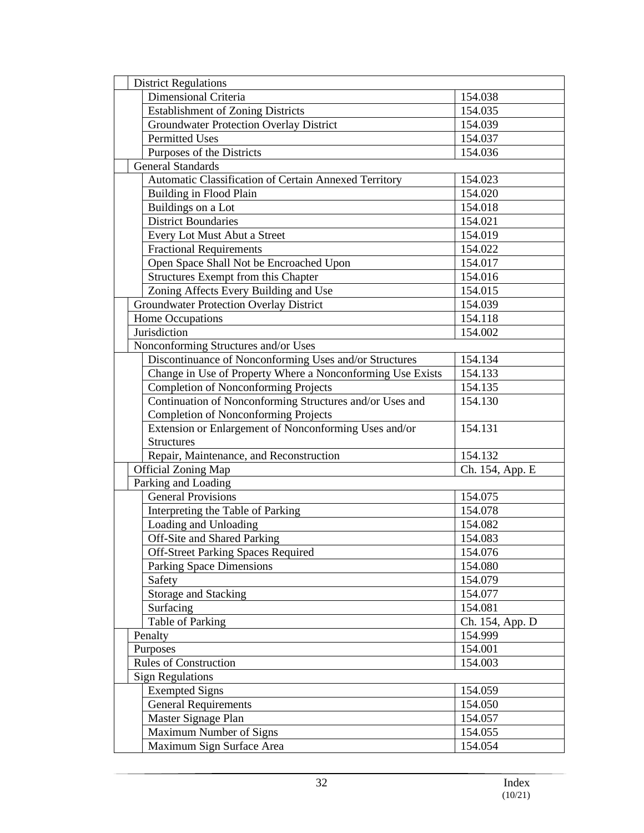| <b>District Regulations</b>                                |                 |  |
|------------------------------------------------------------|-----------------|--|
| Dimensional Criteria                                       | 154.038         |  |
| <b>Establishment of Zoning Districts</b>                   | 154.035         |  |
| <b>Groundwater Protection Overlay District</b>             | 154.039         |  |
| <b>Permitted Uses</b>                                      | 154.037         |  |
| Purposes of the Districts                                  | 154.036         |  |
| <b>General Standards</b>                                   |                 |  |
| Automatic Classification of Certain Annexed Territory      | 154.023         |  |
| Building in Flood Plain                                    | 154.020         |  |
| Buildings on a Lot                                         | 154.018         |  |
| <b>District Boundaries</b>                                 | 154.021         |  |
| Every Lot Must Abut a Street                               | 154.019         |  |
| <b>Fractional Requirements</b>                             | 154.022         |  |
| Open Space Shall Not be Encroached Upon                    | 154.017         |  |
| <b>Structures Exempt from this Chapter</b>                 | 154.016         |  |
| Zoning Affects Every Building and Use                      | 154.015         |  |
| <b>Groundwater Protection Overlay District</b>             | 154.039         |  |
| Home Occupations                                           | 154.118         |  |
| Jurisdiction                                               | 154.002         |  |
| Nonconforming Structures and/or Uses                       |                 |  |
| Discontinuance of Nonconforming Uses and/or Structures     | 154.134         |  |
| Change in Use of Property Where a Nonconforming Use Exists | 154.133         |  |
| <b>Completion of Nonconforming Projects</b>                | 154.135         |  |
| Continuation of Nonconforming Structures and/or Uses and   | 154.130         |  |
| <b>Completion of Nonconforming Projects</b>                |                 |  |
| Extension or Enlargement of Nonconforming Uses and/or      | 154.131         |  |
| <b>Structures</b>                                          |                 |  |
| Repair, Maintenance, and Reconstruction                    | 154.132         |  |
| <b>Official Zoning Map</b>                                 | Ch. 154, App. E |  |
| Parking and Loading                                        |                 |  |
| <b>General Provisions</b>                                  | 154.075         |  |
| Interpreting the Table of Parking                          | 154.078         |  |
| Loading and Unloading                                      | 154.082         |  |
| Off-Site and Shared Parking                                | 154.083         |  |
| <b>Off-Street Parking Spaces Required</b>                  | 154.076         |  |
| Parking Space Dimensions                                   | 154.080         |  |
| Safety                                                     | 154.079         |  |
| Storage and Stacking                                       | 154.077         |  |
| Surfacing                                                  | 154.081         |  |
| Table of Parking                                           | Ch. 154, App. D |  |
| Penalty                                                    | 154.999         |  |
| Purposes                                                   | 154.001         |  |
| <b>Rules of Construction</b>                               | 154.003         |  |
| <b>Sign Regulations</b>                                    |                 |  |
| <b>Exempted Signs</b>                                      | 154.059         |  |
| <b>General Requirements</b>                                | 154.050         |  |
| Master Signage Plan                                        | 154.057         |  |
| Maximum Number of Signs                                    | 154.055         |  |
| Maximum Sign Surface Area                                  | 154.054         |  |